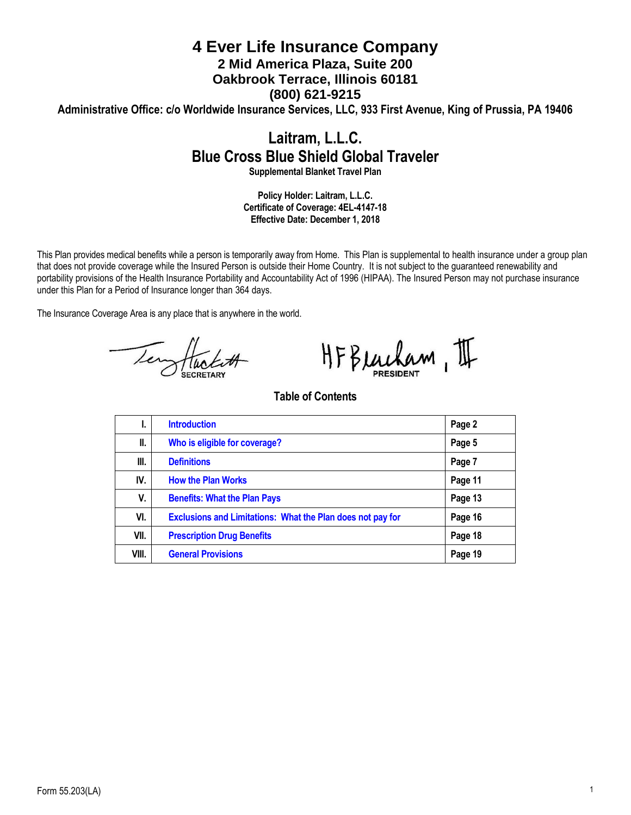# **4 Ever Life Insurance Company 2 Mid America Plaza, Suite 200 Oakbrook Terrace, Illinois 60181 (800) 621-9215 Administrative Office: c/o Worldwide Insurance Services, LLC, 933 First Avenue, King of Prussia, PA 19406**

# **Laitram, L.L.C. Blue Cross Blue Shield Global Traveler**

**Supplemental Blanket Travel Plan**

**Policy Holder: Laitram, L.L.C. Certificate of Coverage: 4EL-4147-18 Effective Date: December 1, 2018**

This Plan provides medical benefits while a person is temporarily away from Home. This Plan is supplemental to health insurance under a group plan that does not provide coverage while the Insured Person is outside their Home Country. It is not subject to the guaranteed renewability and portability provisions of the Health Insurance Portability and Accountability Act of 1996 (HIPAA). The Insured Person may not purchase insurance under this Plan for a Period of Insurance longer than 364 days.

The Insurance Coverage Area is any place that is anywhere in the world.

Tempflucture

HFBeacham, II

# **Table of Contents**

| ъ.    | <b>Introduction</b>                                               | Page 2  |
|-------|-------------------------------------------------------------------|---------|
| Ш.    | Who is eligible for coverage?                                     | Page 5  |
| III.  | <b>Definitions</b>                                                | Page 7  |
| IV.   | <b>How the Plan Works</b>                                         | Page 11 |
| V.    | <b>Benefits: What the Plan Pays</b>                               | Page 13 |
| VI.   | <b>Exclusions and Limitations: What the Plan does not pay for</b> | Page 16 |
| VII.  | <b>Prescription Drug Benefits</b>                                 | Page 18 |
| VIII. | <b>General Provisions</b>                                         | Page 19 |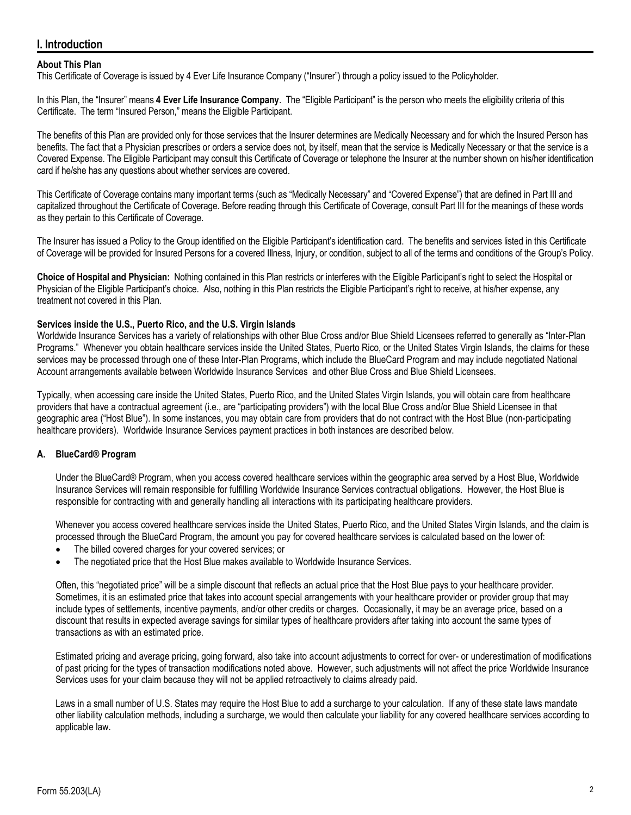# <span id="page-1-0"></span>**I. Introduction**

# **About This Plan**

This Certificate of Coverage is issued by 4 Ever Life Insurance Company ("Insurer") through a policy issued to the Policyholder.

In this Plan, the "Insurer" means **4 Ever Life Insurance Company**. The "Eligible Participant" is the person who meets the eligibility criteria of this Certificate. The term "Insured Person," means the Eligible Participant.

The benefits of this Plan are provided only for those services that the Insurer determines are Medically Necessary and for which the Insured Person has benefits. The fact that a Physician prescribes or orders a service does not, by itself, mean that the service is Medically Necessary or that the service is a Covered Expense. The Eligible Participant may consult this Certificate of Coverage or telephone the Insurer at the number shown on his/her identification card if he/she has any questions about whether services are covered.

This Certificate of Coverage contains many important terms (such as "Medically Necessary" and "Covered Expense") that are defined in Part III and capitalized throughout the Certificate of Coverage. Before reading through this Certificate of Coverage, consult Part III for the meanings of these words as they pertain to this Certificate of Coverage.

The Insurer has issued a Policy to the Group identified on the Eligible Participant's identification card. The benefits and services listed in this Certificate of Coverage will be provided for Insured Persons for a covered Illness, Injury, or condition, subject to all of the terms and conditions of the Group's Policy.

**Choice of Hospital and Physician:** Nothing contained in this Plan restricts or interferes with the Eligible Participant's right to select the Hospital or Physician of the Eligible Participant's choice. Also, nothing in this Plan restricts the Eligible Participant's right to receive, at his/her expense, any treatment not covered in this Plan.

### **Services inside the U.S., Puerto Rico, and the U.S. Virgin Islands**

Worldwide Insurance Services has a variety of relationships with other Blue Cross and/or Blue Shield Licensees referred to generally as "Inter-Plan Programs." Whenever you obtain healthcare services inside the United States, Puerto Rico, or the United States Virgin Islands, the claims for these services may be processed through one of these Inter-Plan Programs, which include the BlueCard Program and may include negotiated National Account arrangements available between Worldwide Insurance Services and other Blue Cross and Blue Shield Licensees.

Typically, when accessing care inside the United States, Puerto Rico, and the United States Virgin Islands, you will obtain care from healthcare providers that have a contractual agreement (i.e., are "participating providers") with the local Blue Cross and/or Blue Shield Licensee in that geographic area ("Host Blue"). In some instances, you may obtain care from providers that do not contract with the Host Blue (non-participating healthcare providers). Worldwide Insurance Services payment practices in both instances are described below.

# **A. BlueCard® Program**

Under the BlueCard® Program, when you access covered healthcare services within the geographic area served by a Host Blue, Worldwide Insurance Services will remain responsible for fulfilling Worldwide Insurance Services contractual obligations. However, the Host Blue is responsible for contracting with and generally handling all interactions with its participating healthcare providers.

Whenever you access covered healthcare services inside the United States, Puerto Rico, and the United States Virgin Islands, and the claim is processed through the BlueCard Program, the amount you pay for covered healthcare services is calculated based on the lower of:

- The billed covered charges for your covered services; or
- The negotiated price that the Host Blue makes available to Worldwide Insurance Services.

Often, this "negotiated price" will be a simple discount that reflects an actual price that the Host Blue pays to your healthcare provider. Sometimes, it is an estimated price that takes into account special arrangements with your healthcare provider or provider group that may include types of settlements, incentive payments, and/or other credits or charges. Occasionally, it may be an average price, based on a discount that results in expected average savings for similar types of healthcare providers after taking into account the same types of transactions as with an estimated price.

Estimated pricing and average pricing, going forward, also take into account adjustments to correct for over- or underestimation of modifications of past pricing for the types of transaction modifications noted above. However, such adjustments will not affect the price Worldwide Insurance Services uses for your claim because they will not be applied retroactively to claims already paid.

Laws in a small number of U.S. States may require the Host Blue to add a surcharge to your calculation. If any of these state laws mandate other liability calculation methods, including a surcharge, we would then calculate your liability for any covered healthcare services according to applicable law.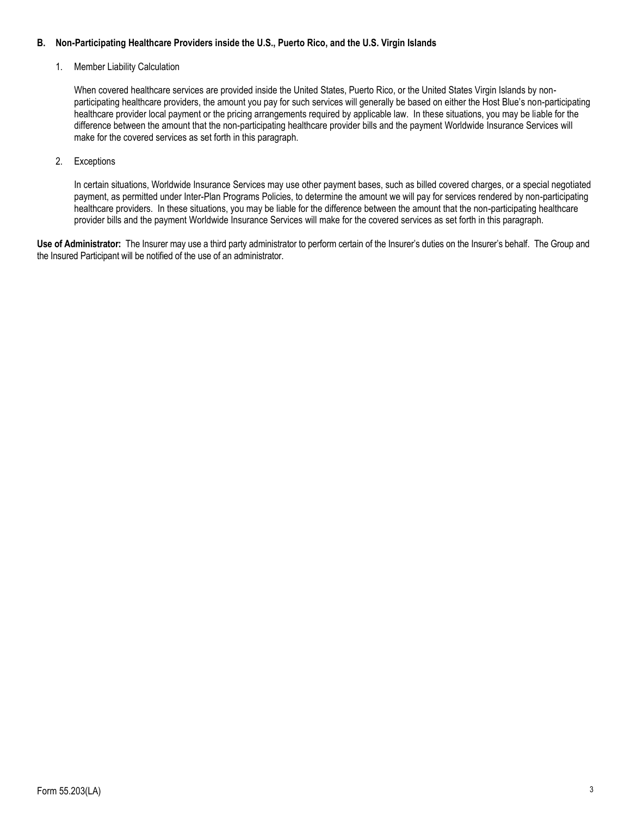# **B. Non-Participating Healthcare Providers inside the U.S., Puerto Rico, and the U.S. Virgin Islands**

### 1. Member Liability Calculation

When covered healthcare services are provided inside the United States, Puerto Rico, or the United States Virgin Islands by nonparticipating healthcare providers, the amount you pay for such services will generally be based on either the Host Blue's non-participating healthcare provider local payment or the pricing arrangements required by applicable law. In these situations, you may be liable for the difference between the amount that the non-participating healthcare provider bills and the payment Worldwide Insurance Services will make for the covered services as set forth in this paragraph.

### 2. Exceptions

In certain situations, Worldwide Insurance Services may use other payment bases, such as billed covered charges, or a special negotiated payment, as permitted under Inter-Plan Programs Policies, to determine the amount we will pay for services rendered by non-participating healthcare providers. In these situations, you may be liable for the difference between the amount that the non-participating healthcare provider bills and the payment Worldwide Insurance Services will make for the covered services as set forth in this paragraph.

**Use of Administrator:** The Insurer may use a third party administrator to perform certain of the Insurer's duties on the Insurer's behalf. The Group and the Insured Participant will be notified of the use of an administrator.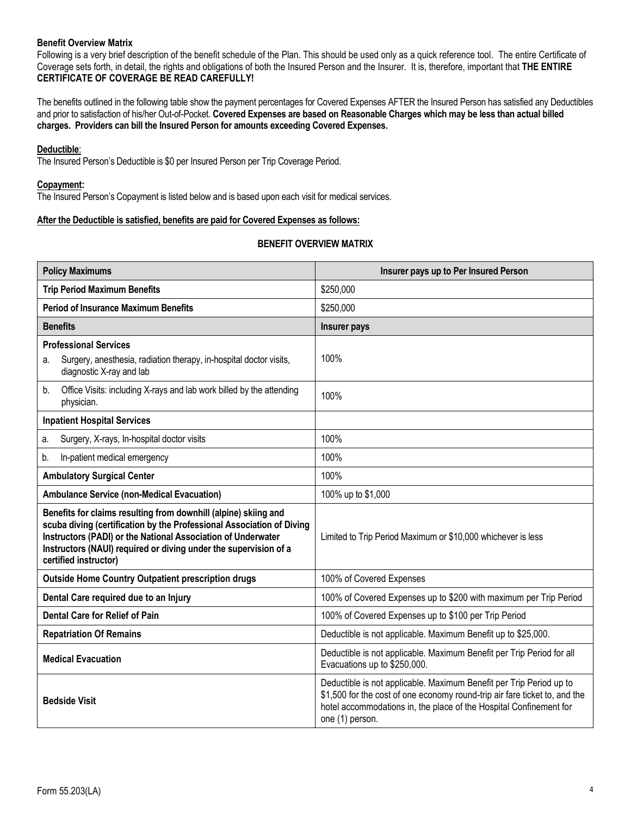### **Benefit Overview Matrix**

Following is a very brief description of the benefit schedule of the Plan. This should be used only as a quick reference tool. The entire Certificate of Coverage sets forth, in detail, the rights and obligations of both the Insured Person and the Insurer. It is, therefore, important that **THE ENTIRE CERTIFICATE OF COVERAGE BE READ CAREFULLY!**

The benefits outlined in the following table show the payment percentages for Covered Expenses AFTER the Insured Person has satisfied any Deductibles and prior to satisfaction of his/her Out-of-Pocket. **Covered Expenses are based on Reasonable Charges which may be less than actual billed charges. Providers can bill the Insured Person for amounts exceeding Covered Expenses.** 

### **Deductible**:

The Insured Person's Deductible is \$0 per Insured Person per Trip Coverage Period.

#### **Copayment:**

The Insured Person's Copayment is listed below and is based upon each visit for medical services.

# **After the Deductible is satisfied, benefits are paid for Covered Expenses as follows:**

### **BENEFIT OVERVIEW MATRIX**

| <b>Policy Maximums</b>                                                                                                                                                                                                                                                                                | Insurer pays up to Per Insured Person                                                                                                                                                                                                      |  |
|-------------------------------------------------------------------------------------------------------------------------------------------------------------------------------------------------------------------------------------------------------------------------------------------------------|--------------------------------------------------------------------------------------------------------------------------------------------------------------------------------------------------------------------------------------------|--|
| <b>Trip Period Maximum Benefits</b>                                                                                                                                                                                                                                                                   | \$250,000                                                                                                                                                                                                                                  |  |
| <b>Period of Insurance Maximum Benefits</b>                                                                                                                                                                                                                                                           | \$250,000                                                                                                                                                                                                                                  |  |
| <b>Benefits</b>                                                                                                                                                                                                                                                                                       | <b>Insurer pays</b>                                                                                                                                                                                                                        |  |
| <b>Professional Services</b>                                                                                                                                                                                                                                                                          |                                                                                                                                                                                                                                            |  |
| Surgery, anesthesia, radiation therapy, in-hospital doctor visits,<br>а.<br>diagnostic X-ray and lab                                                                                                                                                                                                  | 100%                                                                                                                                                                                                                                       |  |
| Office Visits: including X-rays and lab work billed by the attending<br>b.<br>physician.                                                                                                                                                                                                              | 100%                                                                                                                                                                                                                                       |  |
| <b>Inpatient Hospital Services</b>                                                                                                                                                                                                                                                                    |                                                                                                                                                                                                                                            |  |
| Surgery, X-rays, In-hospital doctor visits<br>a.                                                                                                                                                                                                                                                      | 100%                                                                                                                                                                                                                                       |  |
| In-patient medical emergency<br>b.                                                                                                                                                                                                                                                                    | 100%                                                                                                                                                                                                                                       |  |
| <b>Ambulatory Surgical Center</b>                                                                                                                                                                                                                                                                     | 100%                                                                                                                                                                                                                                       |  |
| <b>Ambulance Service (non-Medical Evacuation)</b>                                                                                                                                                                                                                                                     | 100% up to \$1,000                                                                                                                                                                                                                         |  |
| Benefits for claims resulting from downhill (alpine) skiing and<br>scuba diving (certification by the Professional Association of Diving<br>Instructors (PADI) or the National Association of Underwater<br>Instructors (NAUI) required or diving under the supervision of a<br>certified instructor) | Limited to Trip Period Maximum or \$10,000 whichever is less                                                                                                                                                                               |  |
| <b>Outside Home Country Outpatient prescription drugs</b>                                                                                                                                                                                                                                             | 100% of Covered Expenses                                                                                                                                                                                                                   |  |
| Dental Care required due to an Injury                                                                                                                                                                                                                                                                 | 100% of Covered Expenses up to \$200 with maximum per Trip Period                                                                                                                                                                          |  |
| <b>Dental Care for Relief of Pain</b>                                                                                                                                                                                                                                                                 | 100% of Covered Expenses up to \$100 per Trip Period                                                                                                                                                                                       |  |
| <b>Repatriation Of Remains</b>                                                                                                                                                                                                                                                                        | Deductible is not applicable. Maximum Benefit up to \$25,000.                                                                                                                                                                              |  |
| <b>Medical Evacuation</b>                                                                                                                                                                                                                                                                             | Deductible is not applicable. Maximum Benefit per Trip Period for all<br>Evacuations up to \$250,000.                                                                                                                                      |  |
| <b>Bedside Visit</b>                                                                                                                                                                                                                                                                                  | Deductible is not applicable. Maximum Benefit per Trip Period up to<br>\$1,500 for the cost of one economy round-trip air fare ticket to, and the<br>hotel accommodations in, the place of the Hospital Confinement for<br>one (1) person. |  |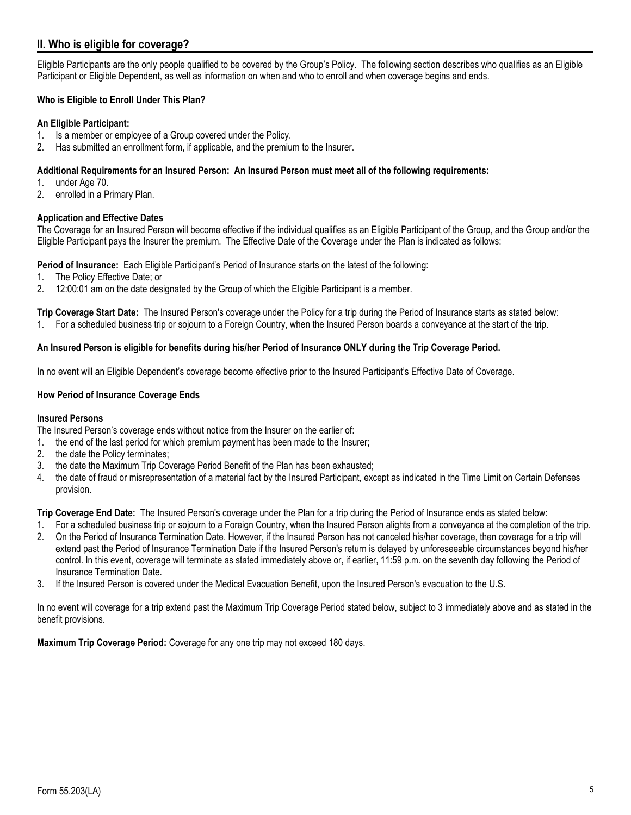# <span id="page-4-0"></span>**II. Who is eligible for coverage?**

Eligible Participants are the only people qualified to be covered by the Group's Policy. The following section describes who qualifies as an Eligible Participant or Eligible Dependent, as well as information on when and who to enroll and when coverage begins and ends.

# **Who is Eligible to Enroll Under This Plan?**

# **An Eligible Participant:**

- 1. Is a member or employee of a Group covered under the Policy.
- 2. Has submitted an enrollment form, if applicable, and the premium to the Insurer.

### **Additional Requirements for an Insured Person: An Insured Person must meet all of the following requirements:**

- 1. under Age 70.
- 2. enrolled in a Primary Plan.

# **Application and Effective Dates**

The Coverage for an Insured Person will become effective if the individual qualifies as an Eligible Participant of the Group, and the Group and/or the Eligible Participant pays the Insurer the premium. The Effective Date of the Coverage under the Plan is indicated as follows:

**Period of Insurance:** Each Eligible Participant's Period of Insurance starts on the latest of the following:

- 1. The Policy Effective Date; or
- 2. 12:00:01 am on the date designated by the Group of which the Eligible Participant is a member.

**Trip Coverage Start Date:** The Insured Person's coverage under the Policy for a trip during the Period of Insurance starts as stated below:

1. For a scheduled business trip or sojourn to a Foreign Country, when the Insured Person boards a conveyance at the start of the trip.

# **An Insured Person is eligible for benefits during his/her Period of Insurance ONLY during the Trip Coverage Period.**

In no event will an Eligible Dependent's coverage become effective prior to the Insured Participant's Effective Date of Coverage.

# **How Period of Insurance Coverage Ends**

### **Insured Persons**

The Insured Person's coverage ends without notice from the Insurer on the earlier of:

- 1. the end of the last period for which premium payment has been made to the Insurer;
- 2. the date the Policy terminates;
- 3. the date the Maximum Trip Coverage Period Benefit of the Plan has been exhausted;
- 4. the date of fraud or misrepresentation of a material fact by the Insured Participant, except as indicated in the Time Limit on Certain Defenses provision.

**Trip Coverage End Date:** The Insured Person's coverage under the Plan for a trip during the Period of Insurance ends as stated below:

- 1. For a scheduled business trip or sojourn to a Foreign Country, when the Insured Person alights from a conveyance at the completion of the trip.
- 2. On the Period of Insurance Termination Date. However, if the Insured Person has not canceled his/her coverage, then coverage for a trip will extend past the Period of Insurance Termination Date if the Insured Person's return is delayed by unforeseeable circumstances beyond his/her control. In this event, coverage will terminate as stated immediately above or, if earlier, 11:59 p.m. on the seventh day following the Period of Insurance Termination Date.
- 3. If the Insured Person is covered under the Medical Evacuation Benefit, upon the Insured Person's evacuation to the U.S.

In no event will coverage for a trip extend past the Maximum Trip Coverage Period stated below, subject to 3 immediately above and as stated in the benefit provisions.

**Maximum Trip Coverage Period:** Coverage for any one trip may not exceed 180 days.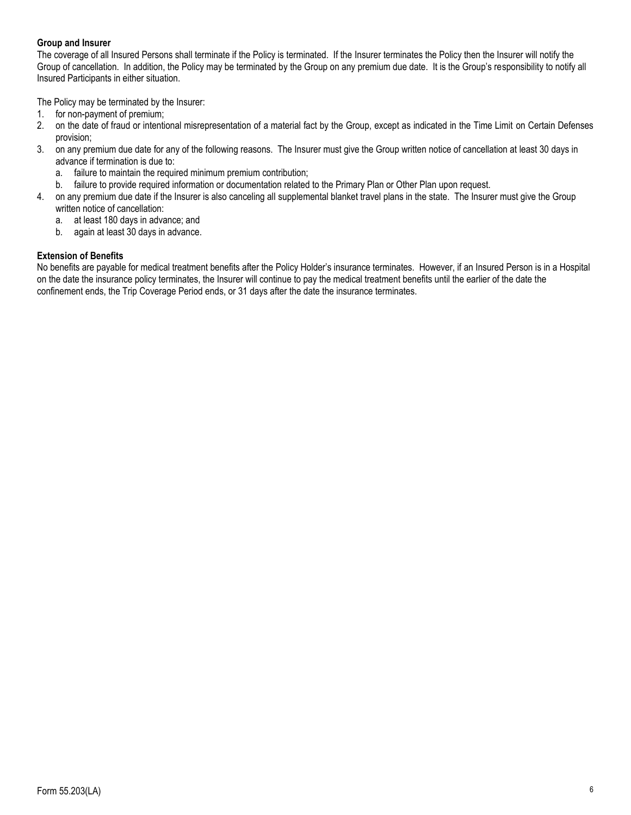# **Group and Insurer**

The coverage of all Insured Persons shall terminate if the Policy is terminated. If the Insurer terminates the Policy then the Insurer will notify the Group of cancellation. In addition, the Policy may be terminated by the Group on any premium due date. It is the Group's responsibility to notify all Insured Participants in either situation.

The Policy may be terminated by the Insurer:

- 1. for non-payment of premium;
- 2. on the date of fraud or intentional misrepresentation of a material fact by the Group, except as indicated in the Time Limit on Certain Defenses provision;
- 3. on any premium due date for any of the following reasons. The Insurer must give the Group written notice of cancellation at least 30 days in advance if termination is due to:
	- a. failure to maintain the required minimum premium contribution;
	- b. failure to provide required information or documentation related to the Primary Plan or Other Plan upon request.
- 4. on any premium due date if the Insurer is also canceling all supplemental blanket travel plans in the state. The Insurer must give the Group written notice of cancellation:
	- a. at least 180 days in advance; and
	- b. again at least 30 days in advance.

# **Extension of Benefits**

No benefits are payable for medical treatment benefits after the Policy Holder's insurance terminates. However, if an Insured Person is in a Hospital on the date the insurance policy terminates, the Insurer will continue to pay the medical treatment benefits until the earlier of the date the confinement ends, the Trip Coverage Period ends, or 31 days after the date the insurance terminates.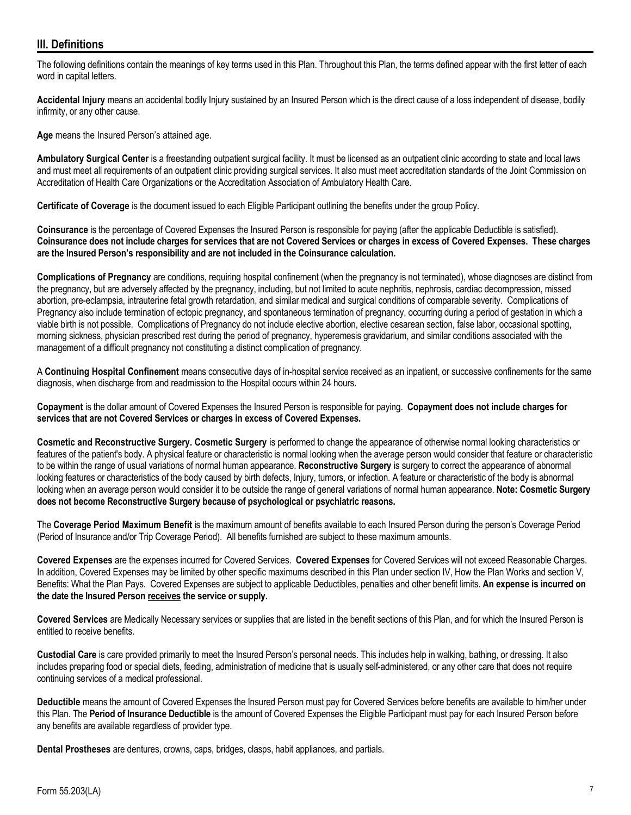# <span id="page-6-0"></span>**III. Definitions**

The following definitions contain the meanings of key terms used in this Plan. Throughout this Plan, the terms defined appear with the first letter of each word in capital letters.

**Accidental Injury** means an accidental bodily Injury sustained by an Insured Person which is the direct cause of a loss independent of disease, bodily infirmity, or any other cause.

**Age** means the Insured Person's attained age.

**Ambulatory Surgical Center** is a freestanding outpatient surgical facility. It must be licensed as an outpatient clinic according to state and local laws and must meet all requirements of an outpatient clinic providing surgical services. It also must meet accreditation standards of the Joint Commission on Accreditation of Health Care Organizations or the Accreditation Association of Ambulatory Health Care.

**Certificate of Coverage** is the document issued to each Eligible Participant outlining the benefits under the group Policy.

**Coinsurance** is the percentage of Covered Expenses the Insured Person is responsible for paying (after the applicable Deductible is satisfied). **Coinsurance does not include charges for services that are not Covered Services or charges in excess of Covered Expenses. These charges are the Insured Person's responsibility and are not included in the Coinsurance calculation.**

**Complications of Pregnancy** are conditions, requiring hospital confinement (when the pregnancy is not terminated), whose diagnoses are distinct from the pregnancy, but are adversely affected by the pregnancy, including, but not limited to acute nephritis, nephrosis, cardiac decompression, missed abortion, pre-eclampsia, intrauterine fetal growth retardation, and similar medical and surgical conditions of comparable severity. Complications of Pregnancy also include termination of ectopic pregnancy, and spontaneous termination of pregnancy, occurring during a period of gestation in which a viable birth is not possible. Complications of Pregnancy do not include elective abortion, elective cesarean section, false labor, occasional spotting, morning sickness, physician prescribed rest during the period of pregnancy, hyperemesis gravidarium, and similar conditions associated with the management of a difficult pregnancy not constituting a distinct complication of pregnancy.

A **Continuing Hospital Confinement** means consecutive days of in-hospital service received as an inpatient, or successive confinements for the same diagnosis, when discharge from and readmission to the Hospital occurs within 24 hours.

**Copayment** is the dollar amount of Covered Expenses the Insured Person is responsible for paying. **Copayment does not include charges for services that are not Covered Services or charges in excess of Covered Expenses.** 

**Cosmetic and Reconstructive Surgery. Cosmetic Surgery** is performed to change the appearance of otherwise normal looking characteristics or features of the patient's body. A physical feature or characteristic is normal looking when the average person would consider that feature or characteristic to be within the range of usual variations of normal human appearance. **Reconstructive Surgery** is surgery to correct the appearance of abnormal looking features or characteristics of the body caused by birth defects, Injury, tumors, or infection. A feature or characteristic of the body is abnormal looking when an average person would consider it to be outside the range of general variations of normal human appearance. **Note: Cosmetic Surgery does not become Reconstructive Surgery because of psychological or psychiatric reasons.**

The **Coverage Period Maximum Benefit** is the maximum amount of benefits available to each Insured Person during the person's Coverage Period (Period of Insurance and/or Trip Coverage Period). All benefits furnished are subject to these maximum amounts.

**Covered Expenses** are the expenses incurred for Covered Services. **Covered Expenses** for Covered Services will not exceed Reasonable Charges. In addition, Covered Expenses may be limited by other specific maximums described in this Plan under section IV, How the Plan Works and section V, Benefits: What the Plan Pays. Covered Expenses are subject to applicable Deductibles, penalties and other benefit limits. **An expense is incurred on the date the Insured Person receives the service or supply.**

**Covered Services** are Medically Necessary services or supplies that are listed in the benefit sections of this Plan, and for which the Insured Person is entitled to receive benefits.

**Custodial Care** is care provided primarily to meet the Insured Person's personal needs. This includes help in walking, bathing, or dressing. It also includes preparing food or special diets, feeding, administration of medicine that is usually self-administered, or any other care that does not require continuing services of a medical professional.

**Deductible** means the amount of Covered Expenses the Insured Person must pay for Covered Services before benefits are available to him/her under this Plan. The **Period of Insurance Deductible** is the amount of Covered Expenses the Eligible Participant must pay for each Insured Person before any benefits are available regardless of provider type.

**Dental Prostheses** are dentures, crowns, caps, bridges, clasps, habit appliances, and partials.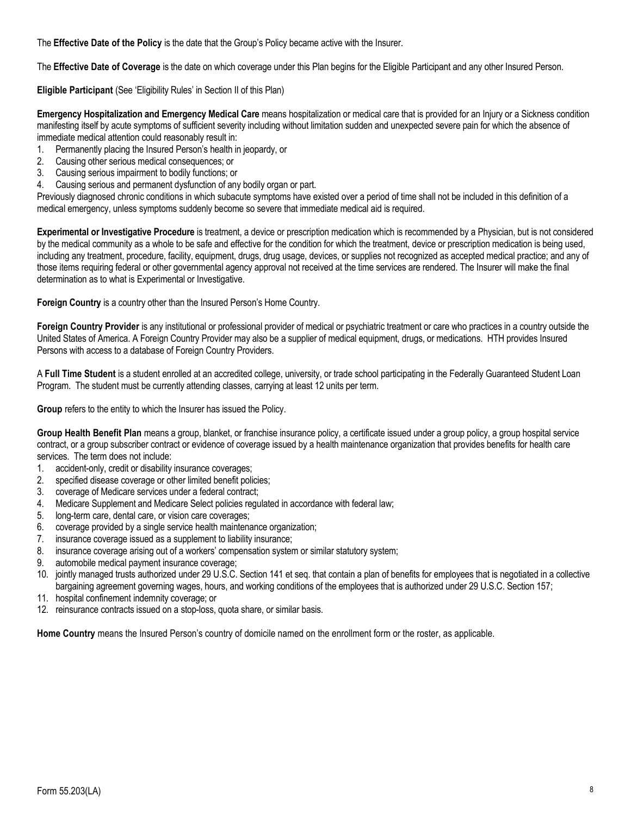The **Effective Date of the Policy** is the date that the Group's Policy became active with the Insurer.

The **Effective Date of Coverage** is the date on which coverage under this Plan begins for the Eligible Participant and any other Insured Person.

**Eligible Participant** (See 'Eligibility Rules' in Section II of this Plan)

**Emergency Hospitalization and Emergency Medical Care** means hospitalization or medical care that is provided for an Injury or a Sickness condition manifesting itself by acute symptoms of sufficient severity including without limitation sudden and unexpected severe pain for which the absence of immediate medical attention could reasonably result in:

- 1. Permanently placing the Insured Person's health in jeopardy, or
- 2. Causing other serious medical consequences; or
- 3. Causing serious impairment to bodily functions; or
- 4. Causing serious and permanent dysfunction of any bodily organ or part.

Previously diagnosed chronic conditions in which subacute symptoms have existed over a period of time shall not be included in this definition of a medical emergency, unless symptoms suddenly become so severe that immediate medical aid is required.

**Experimental or Investigative Procedure** is treatment, a device or prescription medication which is recommended by a Physician, but is not considered by the medical community as a whole to be safe and effective for the condition for which the treatment, device or prescription medication is being used, including any treatment, procedure, facility, equipment, drugs, drug usage, devices, or supplies not recognized as accepted medical practice; and any of those items requiring federal or other governmental agency approval not received at the time services are rendered. The Insurer will make the final determination as to what is Experimental or Investigative.

**Foreign Country** is a country other than the Insured Person's Home Country.

**Foreign Country Provider** is any institutional or professional provider of medical or psychiatric treatment or care who practices in a country outside the United States of America. A Foreign Country Provider may also be a supplier of medical equipment, drugs, or medications.HTH provides Insured Persons with access to a database of Foreign Country Providers.

A **Full Time Student** is a student enrolled at an accredited college, university, or trade school participating in the Federally Guaranteed Student Loan Program. The student must be currently attending classes, carrying at least 12 units per term.

**Group** refers to the entity to which the Insurer has issued the Policy.

**Group Health Benefit Plan** means a group, blanket, or franchise insurance policy, a certificate issued under a group policy, a group hospital service contract, or a group subscriber contract or evidence of coverage issued by a health maintenance organization that provides benefits for health care services. The term does not include:

- 1. accident-only, credit or disability insurance coverages;
- 2. specified disease coverage or other limited benefit policies;
- 3. coverage of Medicare services under a federal contract;
- 4. Medicare Supplement and Medicare Select policies regulated in accordance with federal law;
- 5. long-term care, dental care, or vision care coverages;
- 6. coverage provided by a single service health maintenance organization;
- 7. insurance coverage issued as a supplement to liability insurance;
- 8. insurance coverage arising out of a workers' compensation system or similar statutory system;
- 9. automobile medical payment insurance coverage;
- 10. jointly managed trusts authorized under 29 U.S.C. Section 141 et seq. that contain a plan of benefits for employees that is negotiated in a collective bargaining agreement governing wages, hours, and working conditions of the employees that is authorized under 29 U.S.C. Section 157;
- 11. hospital confinement indemnity coverage; or
- 12. reinsurance contracts issued on a stop-loss, quota share, or similar basis.

**Home Country** means the Insured Person's country of domicile named on the enrollment form or the roster, as applicable.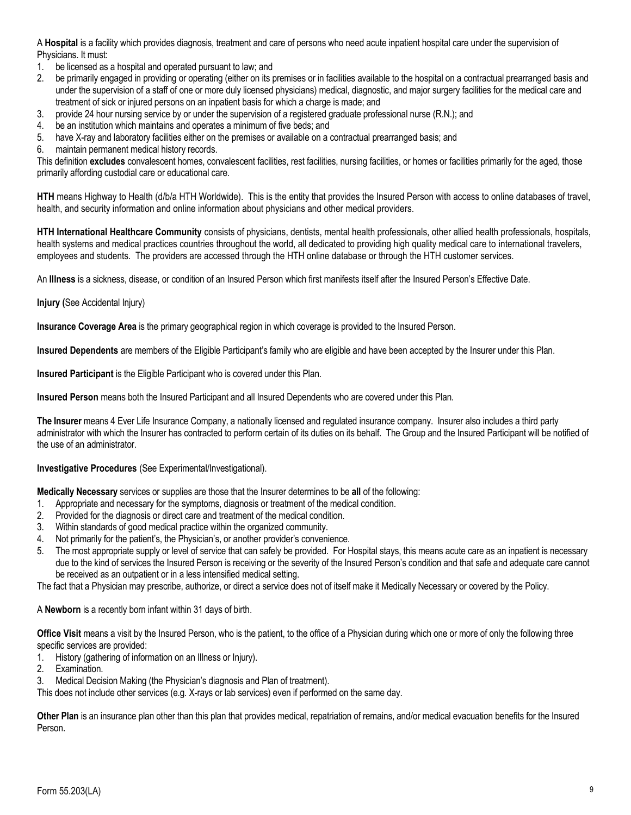A **Hospital** is a facility which provides diagnosis, treatment and care of persons who need acute inpatient hospital care under the supervision of Physicians. It must:

- 1. be licensed as a hospital and operated pursuant to law; and
- 2. be primarily engaged in providing or operating (either on its premises or in facilities available to the hospital on a contractual prearranged basis and under the supervision of a staff of one or more duly licensed physicians) medical, diagnostic, and major surgery facilities for the medical care and treatment of sick or injured persons on an inpatient basis for which a charge is made; and
- 3. provide 24 hour nursing service by or under the supervision of a registered graduate professional nurse (R.N.); and
- 4. be an institution which maintains and operates a minimum of five beds; and
- 5. have X-ray and laboratory facilities either on the premises or available on a contractual prearranged basis; and
- 6. maintain permanent medical history records.

This definition excludes convalescent homes, convalescent facilities, rest facilities, nursing facilities, or homes or facilities primarily for the aged, those primarily affording custodial care or educational care.

**HTH** means Highway to Health (d/b/a HTH Worldwide). This is the entity that provides the Insured Person with access to online databases of travel, health, and security information and online information about physicians and other medical providers.

**HTH International Healthcare Community** consists of physicians, dentists, mental health professionals, other allied health professionals, hospitals, health systems and medical practices countries throughout the world, all dedicated to providing high quality medical care to international travelers, employees and students. The providers are accessed through the HTH online database or through the HTH customer services.

An **Illness** is a sickness, disease, or condition of an Insured Person which first manifests itself after the Insured Person's Effective Date.

**Injury (**See Accidental Injury)

**Insurance Coverage Area** is the primary geographical region in which coverage is provided to the Insured Person.

**Insured Dependents** are members of the Eligible Participant's family who are eligible and have been accepted by the Insurer under this Plan.

**Insured Participant** is the Eligible Participant who is covered under this Plan.

**Insured Person** means both the Insured Participant and all Insured Dependents who are covered under this Plan.

**The Insurer** means 4 Ever Life Insurance Company, a nationally licensed and regulated insurance company. Insurer also includes a third party administrator with which the Insurer has contracted to perform certain of its duties on its behalf. The Group and the Insured Participant will be notified of the use of an administrator.

**Investigative Procedures** (See Experimental/Investigational).

**Medically Necessary** services or supplies are those that the Insurer determines to be **all** of the following:

- 1. Appropriate and necessary for the symptoms, diagnosis or treatment of the medical condition.
- 2. Provided for the diagnosis or direct care and treatment of the medical condition.
- 3. Within standards of good medical practice within the organized community.
- 4. Not primarily for the patient's, the Physician's, or another provider's convenience.
- 5. The most appropriate supply or level of service that can safely be provided. For Hospital stays, this means acute care as an inpatient is necessary due to the kind of services the Insured Person is receiving or the severity of the Insured Person's condition and that safe and adequate care cannot be received as an outpatient or in a less intensified medical setting.

The fact that a Physician may prescribe, authorize, or direct a service does not of itself make it Medically Necessary or covered by the Policy.

A **Newborn** is a recently born infant within 31 days of birth.

**Office Visit** means a visit by the Insured Person, who is the patient, to the office of a Physician during which one or more of only the following three specific services are provided:

- 1. History (gathering of information on an Illness or Injury).
- 2. Examination.
- 3. Medical Decision Making (the Physician's diagnosis and Plan of treatment).

This does not include other services (e.g. X-rays or lab services) even if performed on the same day.

**Other Plan** is an insurance plan other than this plan that provides medical, repatriation of remains, and/or medical evacuation benefits for the Insured Person.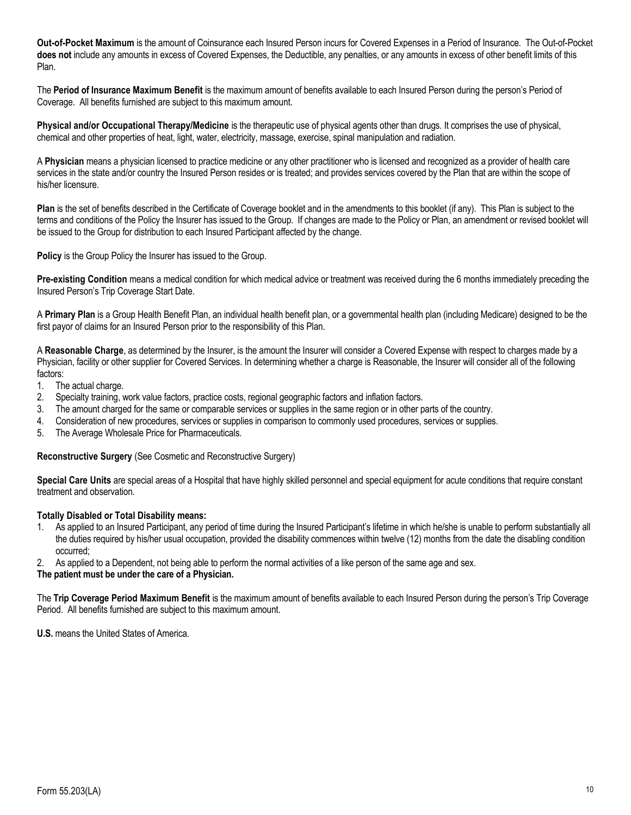**Out-of-Pocket Maximum** is the amount of Coinsurance each Insured Person incurs for Covered Expenses in a Period of Insurance. The Out-of-Pocket **does not** include any amounts in excess of Covered Expenses, the Deductible, any penalties, or any amounts in excess of other benefit limits of this Plan.

The **Period of Insurance Maximum Benefit** is the maximum amount of benefits available to each Insured Person during the person's Period of Coverage. All benefits furnished are subject to this maximum amount.

**Physical and/or Occupational Therapy/Medicine** is the therapeutic use of physical agents other than drugs. It comprises the use of physical, chemical and other properties of heat, light, water, electricity, massage, exercise, spinal manipulation and radiation.

A **Physician** means a physician licensed to practice medicine or any other practitioner who is licensed and recognized as a provider of health care services in the state and/or country the Insured Person resides or is treated; and provides services covered by the Plan that are within the scope of his/her licensure.

**Plan** is the set of benefits described in the Certificate of Coverage booklet and in the amendments to this booklet (if any). This Plan is subject to the terms and conditions of the Policy the Insurer has issued to the Group. If changes are made to the Policy or Plan, an amendment or revised booklet will be issued to the Group for distribution to each Insured Participant affected by the change.

**Policy** is the Group Policy the Insurer has issued to the Group.

**Pre-existing Condition** means a medical condition for which medical advice or treatment was received during the 6 months immediately preceding the Insured Person's Trip Coverage Start Date.

A **Primary Plan** is a Group Health Benefit Plan, an individual health benefit plan, or a governmental health plan (including Medicare) designed to be the first payor of claims for an Insured Person prior to the responsibility of this Plan.

A **Reasonable Charge**, as determined by the Insurer, is the amount the Insurer will consider a Covered Expense with respect to charges made by a Physician, facility or other supplier for Covered Services. In determining whether a charge is Reasonable, the Insurer will consider all of the following factors:

- 1. The actual charge.
- 2. Specialty training, work value factors, practice costs, regional geographic factors and inflation factors.
- 3. The amount charged for the same or comparable services or supplies in the same region or in other parts of the country.
- 4. Consideration of new procedures, services or supplies in comparison to commonly used procedures, services or supplies.
- 5. The Average Wholesale Price for Pharmaceuticals.

**Reconstructive Surgery** (See Cosmetic and Reconstructive Surgery)

**Special Care Units** are special areas of a Hospital that have highly skilled personnel and special equipment for acute conditions that require constant treatment and observation.

### **Totally Disabled or Total Disability means:**

- 1. As applied to an Insured Participant, any period of time during the Insured Participant's lifetime in which he/she is unable to perform substantially all the duties required by his/her usual occupation, provided the disability commences within twelve (12) months from the date the disabling condition occurred;
- 2. As applied to a Dependent, not being able to perform the normal activities of a like person of the same age and sex.

#### **The patient must be under the care of a Physician.**

The **Trip Coverage Period Maximum Benefit** is the maximum amount of benefits available to each Insured Person during the person's Trip Coverage Period. All benefits furnished are subject to this maximum amount.

**U.S.** means the United States of America.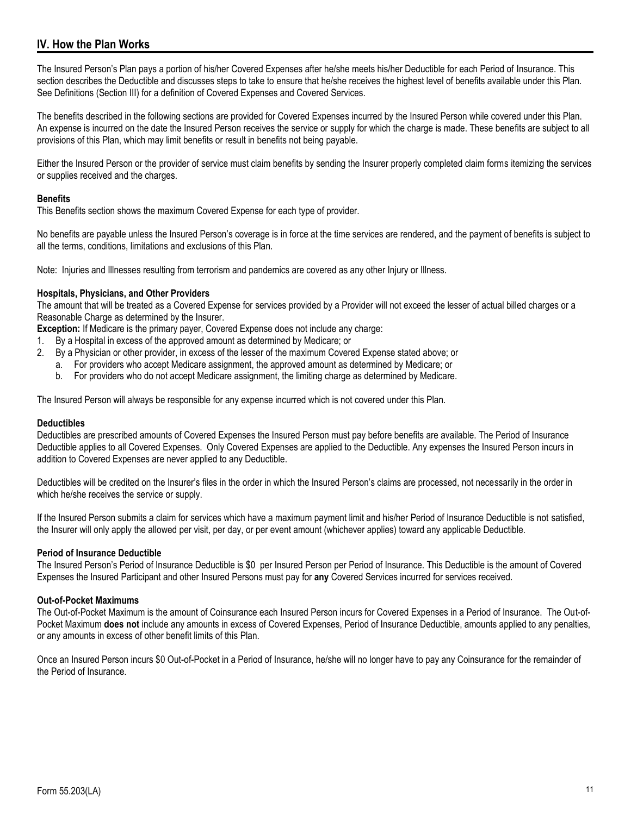# <span id="page-10-0"></span>**IV. How the Plan Works**

The Insured Person's Plan pays a portion of his/her Covered Expenses after he/she meets his/her Deductible for each Period of Insurance. This section describes the Deductible and discusses steps to take to ensure that he/she receives the highest level of benefits available under this Plan. See Definitions (Section III) for a definition of Covered Expenses and Covered Services.

The benefits described in the following sections are provided for Covered Expenses incurred by the Insured Person while covered under this Plan. An expense is incurred on the date the Insured Person receives the service or supply for which the charge is made. These benefits are subject to all provisions of this Plan, which may limit benefits or result in benefits not being payable.

Either the Insured Person or the provider of service must claim benefits by sending the Insurer properly completed claim forms itemizing the services or supplies received and the charges.

# **Benefits**

This Benefits section shows the maximum Covered Expense for each type of provider.

No benefits are payable unless the Insured Person's coverage is in force at the time services are rendered, and the payment of benefits is subject to all the terms, conditions, limitations and exclusions of this Plan.

Note: Injuries and Illnesses resulting from terrorism and pandemics are covered as any other Injury or Illness.

### **Hospitals, Physicians, and Other Providers**

The amount that will be treated as a Covered Expense for services provided by a Provider will not exceed the lesser of actual billed charges or a Reasonable Charge as determined by the Insurer.

**Exception:** If Medicare is the primary payer, Covered Expense does not include any charge:

- 1. By a Hospital in excess of the approved amount as determined by Medicare; or
- 2. By a Physician or other provider, in excess of the lesser of the maximum Covered Expense stated above; or
	- a. For providers who accept Medicare assignment, the approved amount as determined by Medicare; or
	- b. For providers who do not accept Medicare assignment, the limiting charge as determined by Medicare.

The Insured Person will always be responsible for any expense incurred which is not covered under this Plan.

### **Deductibles**

Deductibles are prescribed amounts of Covered Expenses the Insured Person must pay before benefits are available. The Period of Insurance Deductible applies to all Covered Expenses. Only Covered Expenses are applied to the Deductible. Any expenses the Insured Person incurs in addition to Covered Expenses are never applied to any Deductible.

Deductibles will be credited on the Insurer's files in the order in which the Insured Person's claims are processed, not necessarily in the order in which he/she receives the service or supply.

If the Insured Person submits a claim for services which have a maximum payment limit and his/her Period of Insurance Deductible is not satisfied, the Insurer will only apply the allowed per visit, per day, or per event amount (whichever applies) toward any applicable Deductible.

### **Period of Insurance Deductible**

The Insured Person's Period of Insurance Deductible is \$0 per Insured Person per Period of Insurance. This Deductible is the amount of Covered Expenses the Insured Participant and other Insured Persons must pay for **any** Covered Services incurred for services received.

### **Out-of-Pocket Maximums**

The Out-of-Pocket Maximum is the amount of Coinsurance each Insured Person incurs for Covered Expenses in a Period of Insurance. The Out-of-Pocket Maximum **does not** include any amounts in excess of Covered Expenses, Period of Insurance Deductible, amounts applied to any penalties, or any amounts in excess of other benefit limits of this Plan.

Once an Insured Person incurs \$0 Out-of-Pocket in a Period of Insurance, he/she will no longer have to pay any Coinsurance for the remainder of the Period of Insurance.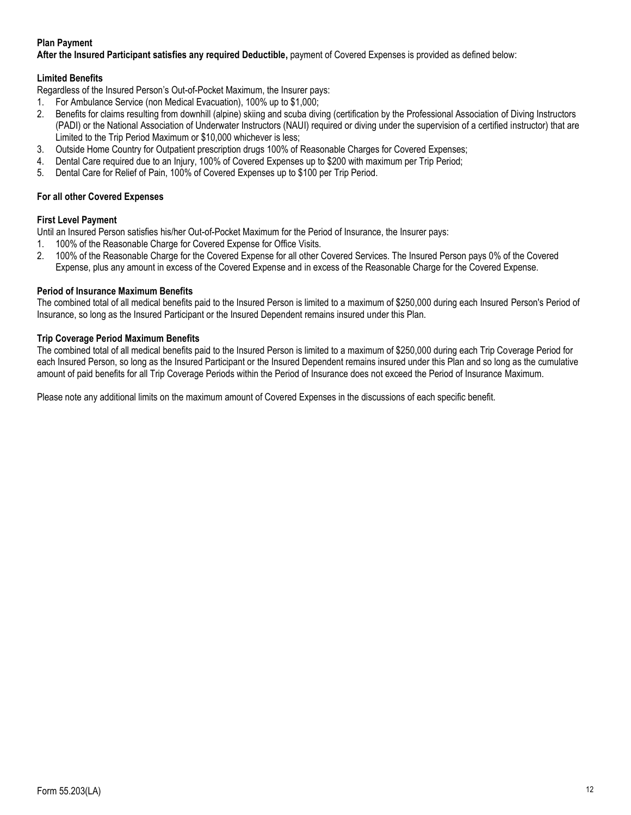# **Plan Payment**

**After the Insured Participant satisfies any required Deductible,** payment of Covered Expenses is provided as defined below:

# **Limited Benefits**

Regardless of the Insured Person's Out-of-Pocket Maximum, the Insurer pays:

- 1. For Ambulance Service (non Medical Evacuation), 100% up to \$1,000;
- 2. Benefits for claims resulting from downhill (alpine) skiing and scuba diving (certification by the Professional Association of Diving Instructors (PADI) or the National Association of Underwater Instructors (NAUI) required or diving under the supervision of a certified instructor) that are Limited to the Trip Period Maximum or \$10,000 whichever is less;
- 3. Outside Home Country for Outpatient prescription drugs 100% of Reasonable Charges for Covered Expenses;
- 4. Dental Care required due to an Injury, 100% of Covered Expenses up to \$200 with maximum per Trip Period;
- 5. Dental Care for Relief of Pain, 100% of Covered Expenses up to \$100 per Trip Period.

# **For all other Covered Expenses**

# **First Level Payment**

Until an Insured Person satisfies his/her Out-of-Pocket Maximum for the Period of Insurance, the Insurer pays:

- 1. 100% of the Reasonable Charge for Covered Expense for Office Visits.
- 2. 100% of the Reasonable Charge for the Covered Expense for all other Covered Services. The Insured Person pays 0% of the Covered Expense, plus any amount in excess of the Covered Expense and in excess of the Reasonable Charge for the Covered Expense.

# **Period of Insurance Maximum Benefits**

The combined total of all medical benefits paid to the Insured Person is limited to a maximum of \$250,000 during each Insured Person's Period of Insurance, so long as the Insured Participant or the Insured Dependent remains insured under this Plan.

# **Trip Coverage Period Maximum Benefits**

The combined total of all medical benefits paid to the Insured Person is limited to a maximum of \$250,000 during each Trip Coverage Period for each Insured Person, so long as the Insured Participant or the Insured Dependent remains insured under this Plan and so long as the cumulative amount of paid benefits for all Trip Coverage Periods within the Period of Insurance does not exceed the Period of Insurance Maximum.

Please note any additional limits on the maximum amount of Covered Expenses in the discussions of each specific benefit.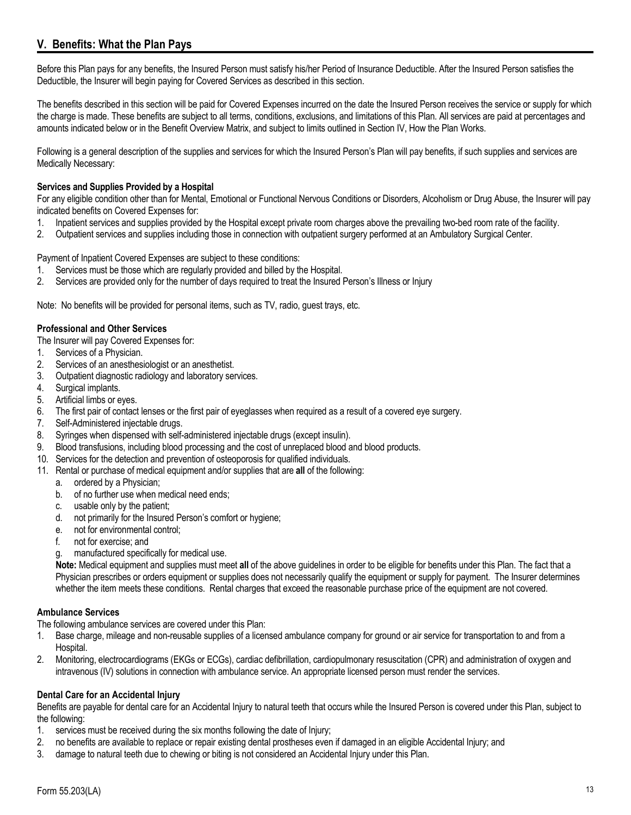# <span id="page-12-0"></span>**V. Benefits: What the Plan Pays**

Before this Plan pays for any benefits, the Insured Person must satisfy his/her Period of Insurance Deductible. After the Insured Person satisfies the Deductible, the Insurer will begin paying for Covered Services as described in this section.

The benefits described in this section will be paid for Covered Expenses incurred on the date the Insured Person receives the service or supply for which the charge is made. These benefits are subject to all terms, conditions, exclusions, and limitations of this Plan. All services are paid at percentages and amounts indicated below or in the Benefit Overview Matrix, and subject to limits outlined in Section IV, How the Plan Works.

Following is a general description of the supplies and services for which the Insured Person's Plan will pay benefits, if such supplies and services are Medically Necessary:

### **Services and Supplies Provided by a Hospital**

For any eligible condition other than for Mental, Emotional or Functional Nervous Conditions or Disorders, Alcoholism or Drug Abuse, the Insurer will pay indicated benefits on Covered Expenses for:

- 1. Inpatient services and supplies provided by the Hospital except private room charges above the prevailing two-bed room rate of the facility.
- 2. Outpatient services and supplies including those in connection with outpatient surgery performed at an Ambulatory Surgical Center.

Payment of Inpatient Covered Expenses are subject to these conditions:

- 1. Services must be those which are regularly provided and billed by the Hospital.
- 2. Services are provided only for the number of days required to treat the Insured Person's Illness or Injury

Note: No benefits will be provided for personal items, such as TV, radio, guest trays, etc.

### **Professional and Other Services**

- The Insurer will pay Covered Expenses for:
- 1. Services of a Physician.
- 2. Services of an anesthesiologist or an anesthetist.
- 3. Outpatient diagnostic radiology and laboratory services.
- 4. Surgical implants.
- 5. Artificial limbs or eyes.
- 6. The first pair of contact lenses or the first pair of eyeglasses when required as a result of a covered eye surgery.
- 7. Self-Administered injectable drugs.
- 8. Syringes when dispensed with self-administered injectable drugs (except insulin).
- 9. Blood transfusions, including blood processing and the cost of unreplaced blood and blood products.
- 10. Services for the detection and prevention of osteoporosis for qualified individuals.
- 11. Rental or purchase of medical equipment and/or supplies that are **all** of the following:
	- a. ordered by a Physician;
	- b. of no further use when medical need ends;
	- c. usable only by the patient;
	- d. not primarily for the Insured Person's comfort or hygiene;
	- e. not for environmental control;
	- f. not for exercise; and
	- g. manufactured specifically for medical use.

**Note:** Medical equipment and supplies must meet **all** of the above guidelines in order to be eligible for benefits under this Plan. The fact that a Physician prescribes or orders equipment or supplies does not necessarily qualify the equipment or supply for payment. The Insurer determines whether the item meets these conditions. Rental charges that exceed the reasonable purchase price of the equipment are not covered.

### **Ambulance Services**

The following ambulance services are covered under this Plan:

- 1. Base charge, mileage and non-reusable supplies of a licensed ambulance company for ground or air service for transportation to and from a Hospital.
- 2. Monitoring, electrocardiograms (EKGs or ECGs), cardiac defibrillation, cardiopulmonary resuscitation (CPR) and administration of oxygen and intravenous (IV) solutions in connection with ambulance service. An appropriate licensed person must render the services.

### **Dental Care for an Accidental Injury**

Benefits are payable for dental care for an Accidental Injury to natural teeth that occurs while the Insured Person is covered under this Plan, subject to the following:

- 1. services must be received during the six months following the date of Injury;
- 2. no benefits are available to replace or repair existing dental prostheses even if damaged in an eligible Accidental Injury; and
- 3. damage to natural teeth due to chewing or biting is not considered an Accidental Injury under this Plan.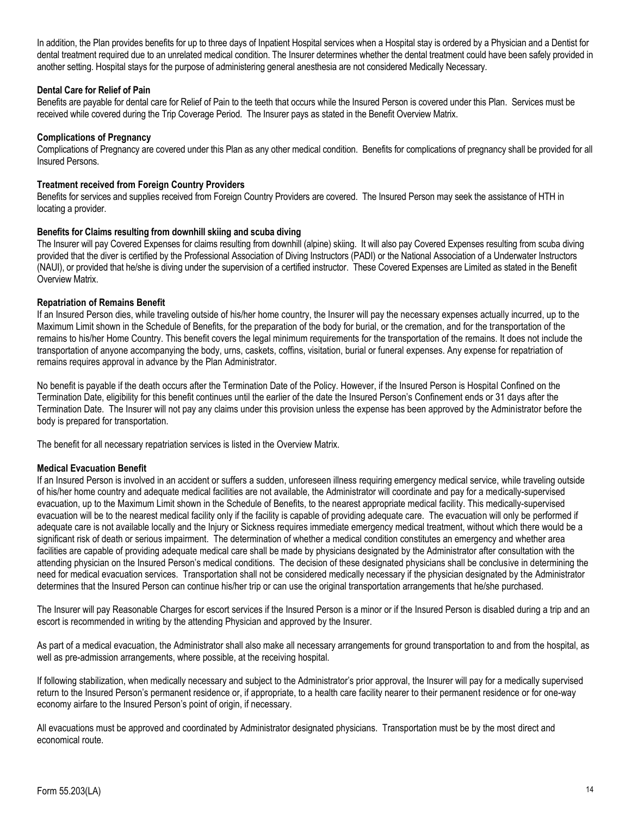In addition, the Plan provides benefits for up to three days of Inpatient Hospital services when a Hospital stay is ordered by a Physician and a Dentist for dental treatment required due to an unrelated medical condition. The Insurer determines whether the dental treatment could have been safely provided in another setting. Hospital stays for the purpose of administering general anesthesia are not considered Medically Necessary.

### **Dental Care for Relief of Pain**

Benefits are payable for dental care for Relief of Pain to the teeth that occurs while the Insured Person is covered under this Plan. Services must be received while covered during the Trip Coverage Period. The Insurer pays as stated in the Benefit Overview Matrix.

### **Complications of Pregnancy**

Complications of Pregnancy are covered under this Plan as any other medical condition. Benefits for complications of pregnancy shall be provided for all Insured Persons.

#### **Treatment received from Foreign Country Providers**

Benefits for services and supplies received from Foreign Country Providers are covered. The Insured Person may seek the assistance of HTH in locating a provider.

### **Benefits for Claims resulting from downhill skiing and scuba diving**

The Insurer will pay Covered Expenses for claims resulting from downhill (alpine) skiing. It will also pay Covered Expenses resulting from scuba diving provided that the diver is certified by the Professional Association of Diving Instructors (PADI) or the National Association of a Underwater Instructors (NAUI), or provided that he/she is diving under the supervision of a certified instructor. These Covered Expenses are Limited as stated in the Benefit Overview Matrix.

#### **Repatriation of Remains Benefit**

If an Insured Person dies, while traveling outside of his/her home country, the Insurer will pay the necessary expenses actually incurred, up to the Maximum Limit shown in the Schedule of Benefits, for the preparation of the body for burial, or the cremation, and for the transportation of the remains to his/her Home Country. This benefit covers the legal minimum requirements for the transportation of the remains. It does not include the transportation of anyone accompanying the body, urns, caskets, coffins, visitation, burial or funeral expenses. Any expense for repatriation of remains requires approval in advance by the Plan Administrator.

No benefit is payable if the death occurs after the Termination Date of the Policy. However, if the Insured Person is Hospital Confined on the Termination Date, eligibility for this benefit continues until the earlier of the date the Insured Person's Confinement ends or 31 days after the Termination Date. The Insurer will not pay any claims under this provision unless the expense has been approved by the Administrator before the body is prepared for transportation.

The benefit for all necessary repatriation services is listed in the Overview Matrix.

### **Medical Evacuation Benefit**

If an Insured Person is involved in an accident or suffers a sudden, unforeseen illness requiring emergency medical service, while traveling outside of his/her home country and adequate medical facilities are not available, the Administrator will coordinate and pay for a medically-supervised evacuation, up to the Maximum Limit shown in the Schedule of Benefits, to the nearest appropriate medical facility. This medically-supervised evacuation will be to the nearest medical facility only if the facility is capable of providing adequate care. The evacuation will only be performed if adequate care is not available locally and the Injury or Sickness requires immediate emergency medical treatment, without which there would be a significant risk of death or serious impairment. The determination of whether a medical condition constitutes an emergency and whether area facilities are capable of providing adequate medical care shall be made by physicians designated by the Administrator after consultation with the attending physician on the Insured Person's medical conditions. The decision of these designated physicians shall be conclusive in determining the need for medical evacuation services. Transportation shall not be considered medically necessary if the physician designated by the Administrator determines that the Insured Person can continue his/her trip or can use the original transportation arrangements that he/she purchased.

The Insurer will pay Reasonable Charges for escort services if the Insured Person is a minor or if the Insured Person is disabled during a trip and an escort is recommended in writing by the attending Physician and approved by the Insurer.

As part of a medical evacuation, the Administrator shall also make all necessary arrangements for ground transportation to and from the hospital, as well as pre-admission arrangements, where possible, at the receiving hospital.

If following stabilization, when medically necessary and subject to the Administrator's prior approval, the Insurer will pay for a medically supervised return to the Insured Person's permanent residence or, if appropriate, to a health care facility nearer to their permanent residence or for one-way economy airfare to the Insured Person's point of origin, if necessary.

All evacuations must be approved and coordinated by Administrator designated physicians. Transportation must be by the most direct and economical route.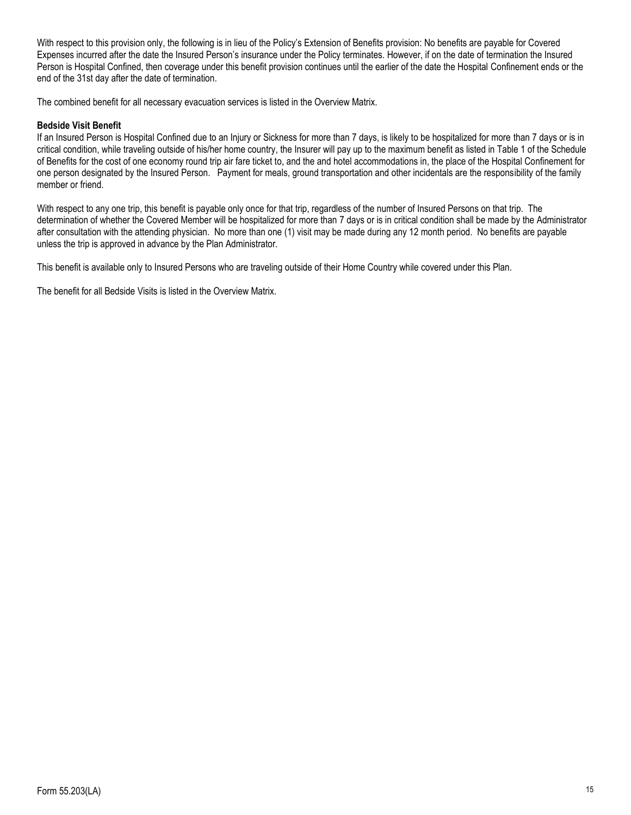With respect to this provision only, the following is in lieu of the Policy's Extension of Benefits provision: No benefits are payable for Covered Expenses incurred after the date the Insured Person's insurance under the Policy terminates. However, if on the date of termination the Insured Person is Hospital Confined, then coverage under this benefit provision continues until the earlier of the date the Hospital Confinement ends or the end of the 31st day after the date of termination.

The combined benefit for all necessary evacuation services is listed in the Overview Matrix.

### **Bedside Visit Benefit**

If an Insured Person is Hospital Confined due to an Injury or Sickness for more than 7 days, is likely to be hospitalized for more than 7 days or is in critical condition, while traveling outside of his/her home country, the Insurer will pay up to the maximum benefit as listed in Table 1 of the Schedule of Benefits for the cost of one economy round trip air fare ticket to, and the and hotel accommodations in, the place of the Hospital Confinement for one person designated by the Insured Person. Payment for meals, ground transportation and other incidentals are the responsibility of the family member or friend.

With respect to any one trip, this benefit is payable only once for that trip, regardless of the number of Insured Persons on that trip. The determination of whether the Covered Member will be hospitalized for more than 7 days or is in critical condition shall be made by the Administrator after consultation with the attending physician. No more than one (1) visit may be made during any 12 month period. No benefits are payable unless the trip is approved in advance by the Plan Administrator.

This benefit is available only to Insured Persons who are traveling outside of their Home Country while covered under this Plan.

The benefit for all Bedside Visits is listed in the Overview Matrix.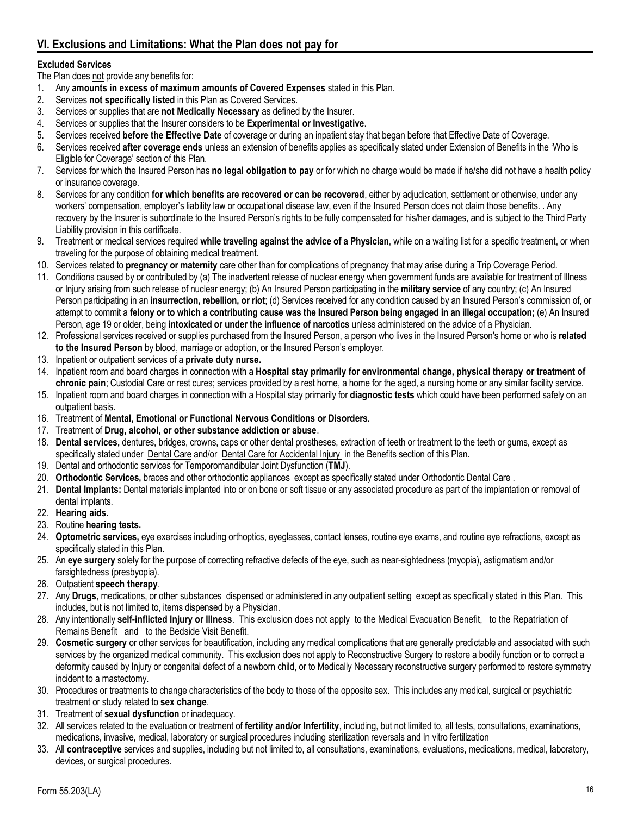# <span id="page-15-0"></span>**VI. Exclusions and Limitations: What the Plan does not pay for**

# **Excluded Services**

The Plan does not provide any benefits for:

- 1. Any **amounts in excess of maximum amounts of Covered Expenses** stated in this Plan.
- 2. Services **not specifically listed** in this Plan as Covered Services.
- 3. Services or supplies that are **not Medically Necessary** as defined by the Insurer.
- 4. Services or supplies that the Insurer considers to be **Experimental or Investigative.**
- 5. Services received **before the Effective Date** of coverage or during an inpatient stay that began before that Effective Date of Coverage.
- 6. Services received **after coverage ends** unless an extension of benefits applies as specifically stated under Extension of Benefits in the 'Who is Eligible for Coverage' section of this Plan.
- 7. Services for which the Insured Person has **no legal obligation to pay** or for which no charge would be made if he/she did not have a health policy or insurance coverage.
- 8. Services for any condition **for which benefits are recovered or can be recovered**, either by adjudication, settlement or otherwise, under any workers' compensation, employer's liability law or occupational disease law, even if the Insured Person does not claim those benefits. . Any recovery by the Insurer is subordinate to the Insured Person's rights to be fully compensated for his/her damages, and is subject to the Third Party Liability provision in this certificate.
- 9. Treatment or medical services required **while traveling against the advice of a Physician**, while on a waiting list for a specific treatment, or when traveling for the purpose of obtaining medical treatment.
- 10. Services related to **pregnancy or maternity** care other than for complications of pregnancy that may arise during a Trip Coverage Period.
- 11. Conditions caused by or contributed by (a) The inadvertent release of nuclear energy when government funds are available for treatment of Illness or Injury arising from such release of nuclear energy; (b) An Insured Person participating in the **military service** of any country; (c) An Insured Person participating in an **insurrection, rebellion, or riot**; (d) Services received for any condition caused by an Insured Person's commission of, or attempt to commit a **felony or to which a contributing cause was the Insured Person being engaged in an illegal occupation;** (e) An Insured Person, age 19 or older, being **intoxicated or under the influence of narcotics** unless administered on the advice of a Physician.
- 12. Professional services received or supplies purchased from the Insured Person, a person who lives in the Insured Person's home or who is **related to the Insured Person** by blood, marriage or adoption, or the Insured Person's employer.
- 13. Inpatient or outpatient services of a **private duty nurse.**
- 14. Inpatient room and board charges in connection with a **Hospital stay primarily for environmental change, physical therapy or treatment of chronic pain**; Custodial Care or rest cures; services provided by a rest home, a home for the aged, a nursing home or any similar facility service.
- 15. Inpatient room and board charges in connection with a Hospital stay primarily for **diagnostic tests** which could have been performed safely on an outpatient basis.
- 16. Treatment of **Mental, Emotional or Functional Nervous Conditions or Disorders.**
- 17. Treatment of **Drug, alcohol, or other substance addiction or abuse**.
- 18. **Dental services,** dentures, bridges, crowns, caps or other dental prostheses, extraction of teeth or treatment to the teeth or gums, except as specifically stated under Dental Care and/or Dental Care for Accidental Injury in the Benefits section of this Plan.
- 19. Dental and orthodontic services for Temporomandibular Joint Dysfunction (**TMJ**).
- 20. **Orthodontic Services,** braces and other orthodontic appliances except as specifically stated under Orthodontic Dental Care .
- 21. **Dental Implants:** Dental materials implanted into or on bone or soft tissue or any associated procedure as part of the implantation or removal of dental implants.
- 22. **Hearing aids.**
- 23. Routine **hearing tests.**
- 24. **Optometric services,** eye exercises including orthoptics, eyeglasses, contact lenses, routine eye exams, and routine eye refractions, except as specifically stated in this Plan.
- 25. An **eye surgery** solely for the purpose of correcting refractive defects of the eye, such as near-sightedness (myopia), astigmatism and/or farsightedness (presbyopia).
- 26. Outpatient **speech therapy**.
- 27. Any **Drugs**, medications, or other substances dispensed or administered in any outpatient setting except as specifically stated in this Plan. This includes, but is not limited to, items dispensed by a Physician.
- 28. Any intentionally **self-inflicted Injury or Illness**. This exclusion does not apply to the Medical Evacuation Benefit, to the Repatriation of Remains Benefit and to the Bedside Visit Benefit.
- 29. **Cosmetic surgery** or other services for beautification, including any medical complications that are generally predictable and associated with such services by the organized medical community. This exclusion does not apply to Reconstructive Surgery to restore a bodily function or to correct a deformity caused by Injury or congenital defect of a newborn child, or to Medically Necessary reconstructive surgery performed to restore symmetry incident to a mastectomy.
- 30. Procedures or treatments to change characteristics of the body to those of the opposite sex. This includes any medical, surgical or psychiatric treatment or study related to **sex change**.
- 31. Treatment of **sexual dysfunction** or inadequacy.
- 32. All services related to the evaluation or treatment of **fertility and/or Infertility**, including, but not limited to, all tests, consultations, examinations, medications, invasive, medical, laboratory or surgical procedures including sterilization reversals and In vitro fertilization
- 33. All **contraceptive** services and supplies, including but not limited to, all consultations, examinations, evaluations, medications, medical, laboratory, devices, or surgical procedures.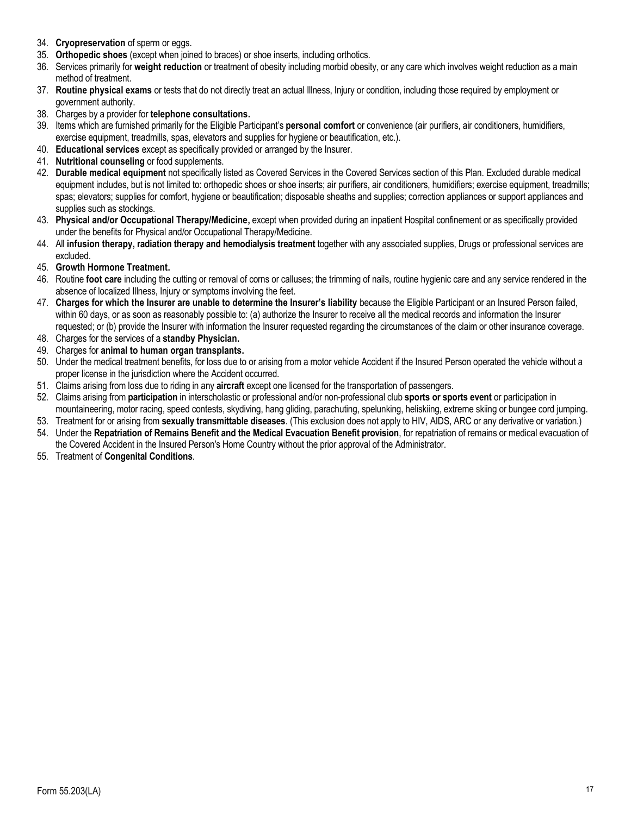- 34. **Cryopreservation** of sperm or eggs.
- 35. **Orthopedic shoes** (except when joined to braces) or shoe inserts, including orthotics.
- 36. Services primarily for **weight reduction** or treatment of obesity including morbid obesity, or any care which involves weight reduction as a main method of treatment.
- 37. **Routine physical exams** or tests that do not directly treat an actual Illness, Injury or condition, including those required by employment or government authority.
- 38. Charges by a provider for **telephone consultations.**
- 39. Items which are furnished primarily for the Eligible Participant's **personal comfort** or convenience (air purifiers, air conditioners, humidifiers, exercise equipment, treadmills, spas, elevators and supplies for hygiene or beautification, etc.).
- 40. **Educational services** except as specifically provided or arranged by the Insurer.
- 41. **Nutritional counseling** or food supplements.
- 42. **Durable medical equipment** not specifically listed as Covered Services in the Covered Services section of this Plan. Excluded durable medical equipment includes, but is not limited to: orthopedic shoes or shoe inserts; air purifiers, air conditioners, humidifiers; exercise equipment, treadmills; spas; elevators; supplies for comfort, hygiene or beautification; disposable sheaths and supplies; correction appliances or support appliances and supplies such as stockings.
- 43. **Physical and/or Occupational Therapy/Medicine,** except when provided during an inpatient Hospital confinement or as specifically provided under the benefits for Physical and/or Occupational Therapy/Medicine.
- 44. All **infusion therapy, radiation therapy and hemodialysis treatment** together with any associated supplies, Drugs or professional services are excluded.
- 45. **Growth Hormone Treatment.**
- 46. Routine **foot care** including the cutting or removal of corns or calluses; the trimming of nails, routine hygienic care and any service rendered in the absence of localized Illness, Injury or symptoms involving the feet.
- 47. **Charges for which the Insurer are unable to determine the Insurer's liability** because the Eligible Participant or an Insured Person failed, within 60 days, or as soon as reasonably possible to: (a) authorize the Insurer to receive all the medical records and information the Insurer requested; or (b) provide the Insurer with information the Insurer requested regarding the circumstances of the claim or other insurance coverage.
- 48. Charges for the services of a **standby Physician.**
- 49. Charges for **animal to human organ transplants.**
- 50. Under the medical treatment benefits, for loss due to or arising from a motor vehicle Accident if the Insured Person operated the vehicle without a proper license in the jurisdiction where the Accident occurred.
- 51. Claims arising from loss due to riding in any **aircraft** except one licensed for the transportation of passengers.
- 52. Claims arising from **participation** in interscholastic or professional and/or non-professional club **sports or sports event** or participation in mountaineering, motor racing, speed contests, skydiving, hang gliding, parachuting, spelunking, heliskiing, extreme skiing or bungee cord jumping.
- 53. Treatment for or arising from **sexually transmittable diseases**. (This exclusion does not apply to HIV, AIDS, ARC or any derivative or variation.) 54. Under the **Repatriation of Remains Benefit and the Medical Evacuation Benefit provision**, for repatriation of remains or medical evacuation of
- the Covered Accident in the Insured Person's Home Country without the prior approval of the Administrator.
- 55. Treatment of **Congenital Conditions**.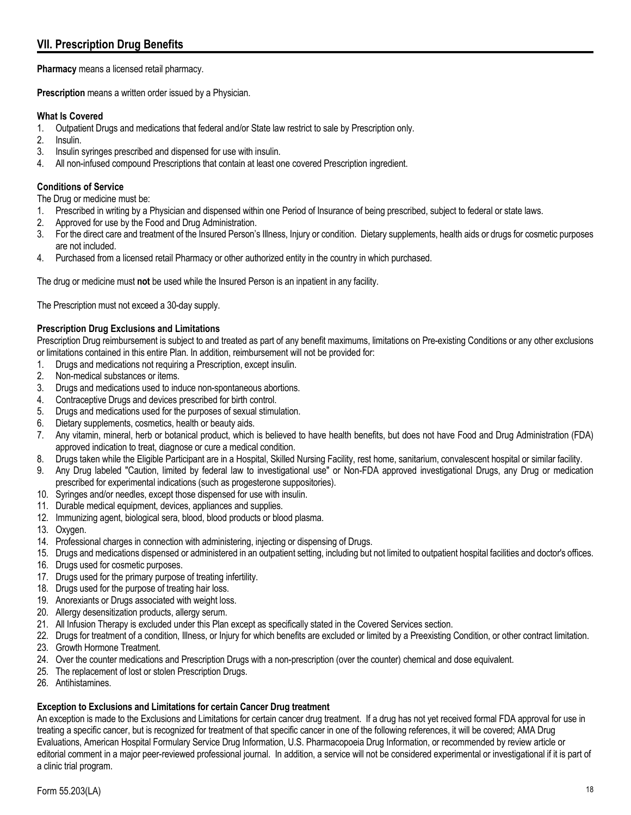# <span id="page-17-0"></span>**VII. Prescription Drug Benefits**

**Pharmacy** means a licensed retail pharmacy.

**Prescription** means a written order issued by a Physician.

# **What Is Covered**

- 1. Outpatient Drugs and medications that federal and/or State law restrict to sale by Prescription only.
- 2. Insulin.
- 3. Insulin syringes prescribed and dispensed for use with insulin.
- 4. All non-infused compound Prescriptions that contain at least one covered Prescription ingredient.

# **Conditions of Service**

The Drug or medicine must be:

- 1. Prescribed in writing by a Physician and dispensed within one Period of Insurance of being prescribed, subject to federal or state laws.
- 2. Approved for use by the Food and Drug Administration.
- 3. For the direct care and treatment of the Insured Person's Illness, Injury or condition. Dietary supplements, health aids or drugs for cosmetic purposes are not included.
- 4. Purchased from a licensed retail Pharmacy or other authorized entity in the country in which purchased.

The drug or medicine must **not** be used while the Insured Person is an inpatient in any facility.

The Prescription must not exceed a 30-day supply.

# **Prescription Drug Exclusions and Limitations**

Prescription Drug reimbursement is subject to and treated as part of any benefit maximums, limitations on Pre-existing Conditions or any other exclusions or limitations contained in this entire Plan. In addition, reimbursement will not be provided for:

- 1. Drugs and medications not requiring a Prescription, except insulin.
- 2. Non-medical substances or items.
- 3. Drugs and medications used to induce non-spontaneous abortions.
- 4. Contraceptive Drugs and devices prescribed for birth control.
- 5. Drugs and medications used for the purposes of sexual stimulation.
- 6. Dietary supplements, cosmetics, health or beauty aids.
- 7. Any vitamin, mineral, herb or botanical product, which is believed to have health benefits, but does not have Food and Drug Administration (FDA) approved indication to treat, diagnose or cure a medical condition.
- 8. Drugs taken while the Eligible Participant are in a Hospital, Skilled Nursing Facility, rest home, sanitarium, convalescent hospital or similar facility.
- 9. Any Drug labeled "Caution, limited by federal law to investigational use" or Non-FDA approved investigational Drugs, any Drug or medication prescribed for experimental indications (such as progesterone suppositories).
- 10. Syringes and/or needles, except those dispensed for use with insulin.
- 11. Durable medical equipment, devices, appliances and supplies.
- 12. Immunizing agent, biological sera, blood, blood products or blood plasma.
- 13. Oxygen.
- 14. Professional charges in connection with administering, injecting or dispensing of Drugs.
- 15. Drugs and medications dispensed or administered in an outpatient setting, including but not limited to outpatient hospital facilities and doctor's offices.
- 16. Drugs used for cosmetic purposes.
- 17. Drugs used for the primary purpose of treating infertility.
- 18. Drugs used for the purpose of treating hair loss.
- 19. Anorexiants or Drugs associated with weight loss.
- 20. Allergy desensitization products, allergy serum.
- 21. All Infusion Therapy is excluded under this Plan except as specifically stated in the Covered Services section.
- 22. Drugs for treatment of a condition, Illness, or Injury for which benefits are excluded or limited by a Preexisting Condition, or other contract limitation.
- 23. Growth Hormone Treatment.
- 24. Over the counter medications and Prescription Drugs with a non-prescription (over the counter) chemical and dose equivalent.
- 25. The replacement of lost or stolen Prescription Drugs.
- 26. Antihistamines.

# **Exception to Exclusions and Limitations for certain Cancer Drug treatment**

An exception is made to the Exclusions and Limitations for certain cancer drug treatment. If a drug has not yet received formal FDA approval for use in treating a specific cancer, but is recognized for treatment of that specific cancer in one of the following references, it will be covered; AMA Drug Evaluations, American Hospital Formulary Service Drug Information, U.S. Pharmacopoeia Drug Information, or recommended by review article or editorial comment in a major peer-reviewed professional journal. In addition, a service will not be considered experimental or investigational if it is part of a clinic trial program.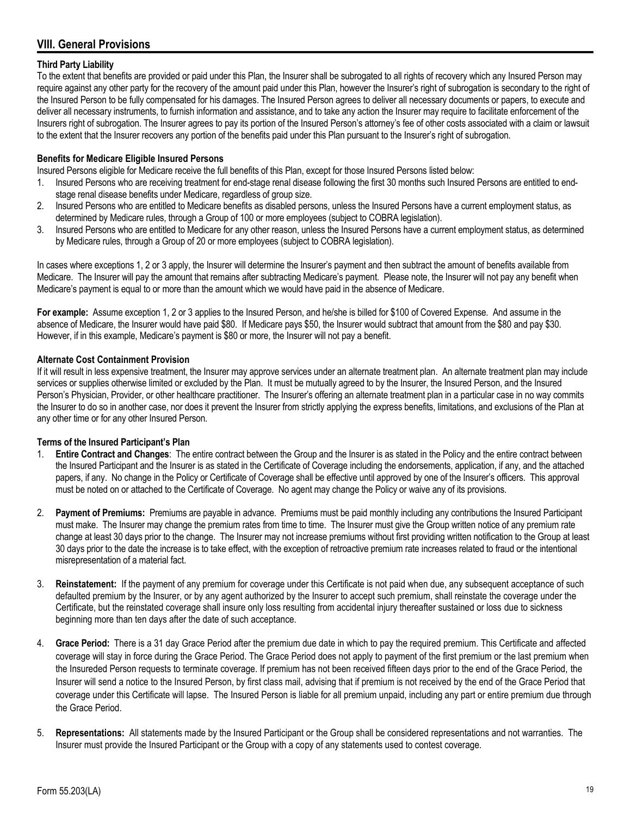# <span id="page-18-0"></span>**VIII. General Provisions**

# **Third Party Liability**

To the extent that benefits are provided or paid under this Plan, the Insurer shall be subrogated to all rights of recovery which any Insured Person may require against any other party for the recovery of the amount paid under this Plan, however the Insurer's right of subrogation is secondary to the right of the Insured Person to be fully compensated for his damages. The Insured Person agrees to deliver all necessary documents or papers, to execute and deliver all necessary instruments, to furnish information and assistance, and to take any action the Insurer may require to facilitate enforcement of the Insurers right of subrogation. The Insurer agrees to pay its portion of the Insured Person's attorney's fee of other costs associated with a claim or lawsuit to the extent that the Insurer recovers any portion of the benefits paid under this Plan pursuant to the Insurer's right of subrogation.

# **Benefits for Medicare Eligible Insured Persons**

Insured Persons eligible for Medicare receive the full benefits of this Plan, except for those Insured Persons listed below:

- 1. Insured Persons who are receiving treatment for end-stage renal disease following the first 30 months such Insured Persons are entitled to endstage renal disease benefits under Medicare, regardless of group size.
- 2. Insured Persons who are entitled to Medicare benefits as disabled persons, unless the Insured Persons have a current employment status, as determined by Medicare rules, through a Group of 100 or more employees (subject to COBRA legislation).
- 3. Insured Persons who are entitled to Medicare for any other reason, unless the Insured Persons have a current employment status, as determined by Medicare rules, through a Group of 20 or more employees (subject to COBRA legislation).

In cases where exceptions 1, 2 or 3 apply, the Insurer will determine the Insurer's payment and then subtract the amount of benefits available from Medicare. The Insurer will pay the amount that remains after subtracting Medicare's payment. Please note, the Insurer will not pay any benefit when Medicare's payment is equal to or more than the amount which we would have paid in the absence of Medicare.

**For example:** Assume exception 1, 2 or 3 applies to the Insured Person, and he/she is billed for \$100 of Covered Expense. And assume in the absence of Medicare, the Insurer would have paid \$80. If Medicare pays \$50, the Insurer would subtract that amount from the \$80 and pay \$30. However, if in this example, Medicare's payment is \$80 or more, the Insurer will not pay a benefit.

# **Alternate Cost Containment Provision**

If it will result in less expensive treatment, the Insurer may approve services under an alternate treatment plan. An alternate treatment plan may include services or supplies otherwise limited or excluded by the Plan. It must be mutually agreed to by the Insurer, the Insured Person, and the Insured Person's Physician, Provider, or other healthcare practitioner. The Insurer's offering an alternate treatment plan in a particular case in no way commits the Insurer to do so in another case, nor does it prevent the Insurer from strictly applying the express benefits, limitations, and exclusions of the Plan at any other time or for any other Insured Person.

# **Terms of the Insured Participant's Plan**

- 1. **Entire Contract and Changes**: The entire contract between the Group and the Insurer is as stated in the Policy and the entire contract between the Insured Participant and the Insurer is as stated in the Certificate of Coverage including the endorsements, application, if any, and the attached papers, if any. No change in the Policy or Certificate of Coverage shall be effective until approved by one of the Insurer's officers. This approval must be noted on or attached to the Certificate of Coverage. No agent may change the Policy or waive any of its provisions.
- 2. **Payment of Premiums:** Premiums are payable in advance. Premiums must be paid monthly including any contributions the Insured Participant must make. The Insurer may change the premium rates from time to time. The Insurer must give the Group written notice of any premium rate change at least 30 days prior to the change. The Insurer may not increase premiums without first providing written notification to the Group at least 30 days prior to the date the increase is to take effect, with the exception of retroactive premium rate increases related to fraud or the intentional misrepresentation of a material fact.
- 3. **Reinstatement:** If the payment of any premium for coverage under this Certificate is not paid when due, any subsequent acceptance of such defaulted premium by the Insurer, or by any agent authorized by the Insurer to accept such premium, shall reinstate the coverage under the Certificate, but the reinstated coverage shall insure only loss resulting from accidental injury thereafter sustained or loss due to sickness beginning more than ten days after the date of such acceptance.
- 4. **Grace Period:** There is a 31 day Grace Period after the premium due date in which to pay the required premium. This Certificate and affected coverage will stay in force during the Grace Period. The Grace Period does not apply to payment of the first premium or the last premium when the Insureded Person requests to terminate coverage. If premium has not been received fifteen days prior to the end of the Grace Period, the Insurer will send a notice to the Insured Person, by first class mail, advising that if premium is not received by the end of the Grace Period that coverage under this Certificate will lapse. The Insured Person is liable for all premium unpaid, including any part or entire premium due through the Grace Period.
- 5. **Representations:** All statements made by the Insured Participant or the Group shall be considered representations and not warranties. The Insurer must provide the Insured Participant or the Group with a copy of any statements used to contest coverage.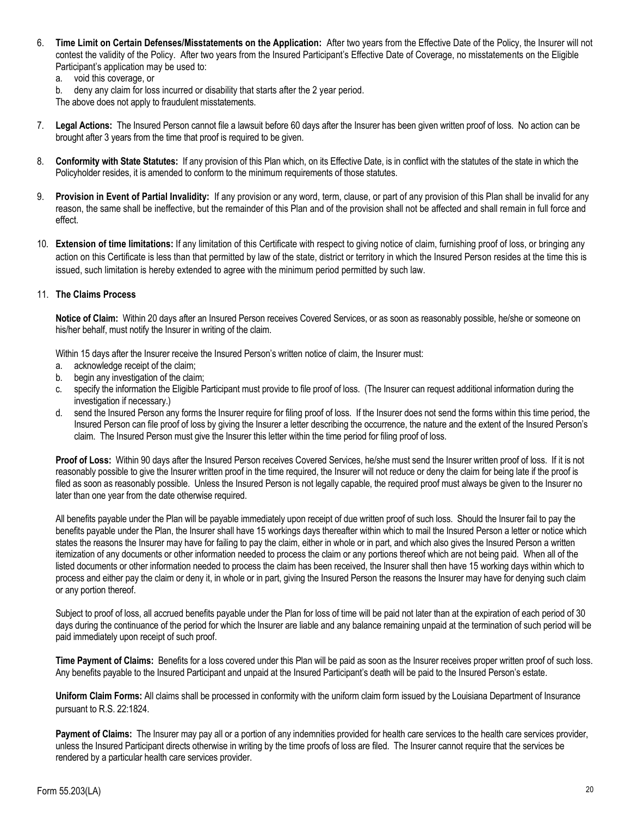- 6. **Time Limit on Certain Defenses/Misstatements on the Application:** After two years from the Effective Date of the Policy, the Insurer will not contest the validity of the Policy. After two years from the Insured Participant's Effective Date of Coverage, no misstatements on the Eligible Participant's application may be used to:
	- a. void this coverage, or
	- b. deny any claim for loss incurred or disability that starts after the 2 year period.

The above does not apply to fraudulent misstatements.

- 7. **Legal Actions:** The Insured Person cannot file a lawsuit before 60 days after the Insurer has been given written proof of loss. No action can be brought after 3 years from the time that proof is required to be given.
- 8. **Conformity with State Statutes:** If any provision of this Plan which, on its Effective Date, is in conflict with the statutes of the state in which the Policyholder resides, it is amended to conform to the minimum requirements of those statutes.
- 9. **Provision in Event of Partial Invalidity:** If any provision or any word, term, clause, or part of any provision of this Plan shall be invalid for any reason, the same shall be ineffective, but the remainder of this Plan and of the provision shall not be affected and shall remain in full force and effect.
- 10. **Extension of time limitations:** If any limitation of this Certificate with respect to giving notice of claim, furnishing proof of loss, or bringing any action on this Certificate is less than that permitted by law of the state, district or territory in which the Insured Person resides at the time this is issued, such limitation is hereby extended to agree with the minimum period permitted by such law.

### 11. **The Claims Process**

**Notice of Claim:** Within 20 days after an Insured Person receives Covered Services, or as soon as reasonably possible, he/she or someone on his/her behalf, must notify the Insurer in writing of the claim.

Within 15 days after the Insurer receive the Insured Person's written notice of claim, the Insurer must:

- a. acknowledge receipt of the claim;
- b. begin any investigation of the claim;
- c. specify the information the Eligible Participant must provide to file proof of loss. (The Insurer can request additional information during the investigation if necessary.)
- d. send the Insured Person any forms the Insurer require for filing proof of loss. If the Insurer does not send the forms within this time period, the Insured Person can file proof of loss by giving the Insurer a letter describing the occurrence, the nature and the extent of the Insured Person's claim. The Insured Person must give the Insurer this letter within the time period for filing proof of loss.

**Proof of Loss:** Within 90 days after the Insured Person receives Covered Services, he/she must send the Insurer written proof of loss. If it is not reasonably possible to give the Insurer written proof in the time required, the Insurer will not reduce or deny the claim for being late if the proof is filed as soon as reasonably possible. Unless the Insured Person is not legally capable, the required proof must always be given to the Insurer no later than one year from the date otherwise required.

All benefits payable under the Plan will be payable immediately upon receipt of due written proof of such loss. Should the Insurer fail to pay the benefits payable under the Plan, the Insurer shall have 15 workings days thereafter within which to mail the Insured Person a letter or notice which states the reasons the Insurer may have for failing to pay the claim, either in whole or in part, and which also gives the Insured Person a written itemization of any documents or other information needed to process the claim or any portions thereof which are not being paid. When all of the listed documents or other information needed to process the claim has been received, the Insurer shall then have 15 working days within which to process and either pay the claim or deny it, in whole or in part, giving the Insured Person the reasons the Insurer may have for denying such claim or any portion thereof.

Subject to proof of loss, all accrued benefits payable under the Plan for loss of time will be paid not later than at the expiration of each period of 30 days during the continuance of the period for which the Insurer are liable and any balance remaining unpaid at the termination of such period will be paid immediately upon receipt of such proof.

**Time Payment of Claims:** Benefits for a loss covered under this Plan will be paid as soon as the Insurer receives proper written proof of such loss. Any benefits payable to the Insured Participant and unpaid at the Insured Participant's death will be paid to the Insured Person's estate.

**Uniform Claim Forms:** All claims shall be processed in conformity with the uniform claim form issued by the Louisiana Department of Insurance pursuant to R.S. 22:1824.

**Payment of Claims:** The Insurer may pay all or a portion of any indemnities provided for health care services to the health care services provider, unless the Insured Participant directs otherwise in writing by the time proofs of loss are filed. The Insurer cannot require that the services be rendered by a particular health care services provider.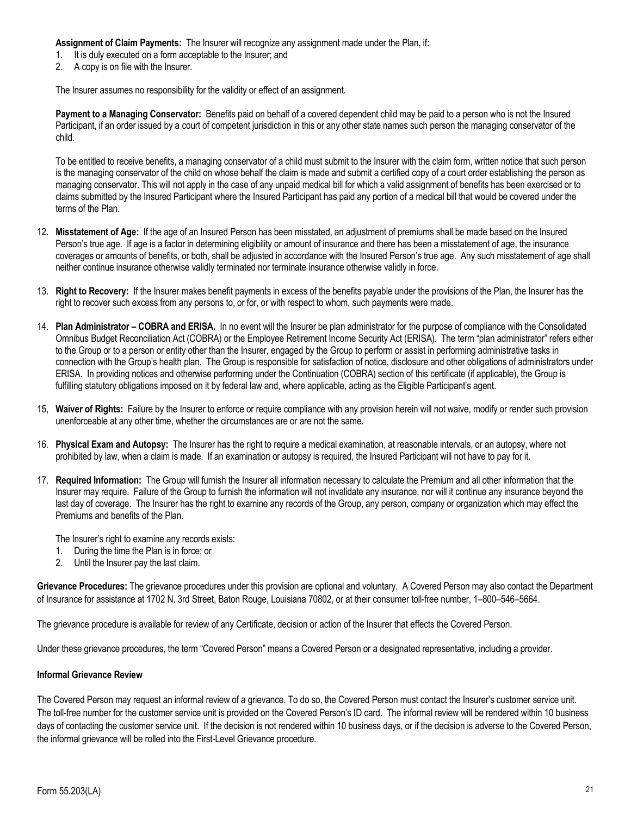**Assignment of Claim Payments:** The Insurer will recognize any assignment made under the Plan, if:

- 1. It is duly executed on a form acceptable to the Insurer; and
- 2. A copy is on file with the Insurer.

The Insurer assumes no responsibility for the validity or effect of an assignment.

**Payment to a Managing Conservator:** Benefits paid on behalf of a covered dependent child may be paid to a person who is not the Insured Participant, if an order issued by a court of competent jurisdiction in this or any other state names such person the managing conservator of the child.

To be entitled to receive benefits, a managing conservator of a child must submit to the Insurer with the claim form, written notice that such person is the managing conservator of the child on whose behalf the claim is made and submit a certified copy of a court order establishing the person as managing conservator. This will not apply in the case of any unpaid medical bill for which a valid assignment of benefits has been exercised or to claims submitted by the Insured Participant where the Insured Participant has paid any portion of a medical bill that would be covered under the terms of the Plan.

- 12. **Misstatement of Age:** If the age of an Insured Person has been misstated, an adjustment of premiums shall be made based on the Insured Person's true age. If age is a factor in determining eligibility or amount of insurance and there has been a misstatement of age, the insurance coverages or amounts of benefits, or both, shall be adjusted in accordance with the Insured Person's true age. Any such misstatement of age shall neither continue insurance otherwise validly terminated nor terminate insurance otherwise validly in force.
- 13. **Right to Recovery:** If the Insurer makes benefit payments in excess of the benefits payable under the provisions of the Plan, the Insurer has the right to recover such excess from any persons to, or for, or with respect to whom, such payments were made.
- 14. **Plan Administrator – COBRA and ERISA.** In no event will the Insurer be plan administrator for the purpose of compliance with the Consolidated Omnibus Budget Reconciliation Act (COBRA) or the Employee Retirement Income Security Act (ERISA). The term "plan administrator" refers either to the Group or to a person or entity other than the Insurer, engaged by the Group to perform or assist in performing administrative tasks in connection with the Group's health plan. The Group is responsible for satisfaction of notice, disclosure and other obligations of administrators under ERISA. In providing notices and otherwise performing under the Continuation (COBRA) section of this certificate (if applicable), the Group is fulfilling statutory obligations imposed on it by federal law and, where applicable, acting as the Eligible Participant's agent.
- 15, **Waiver of Rights:** Failure by the Insurer to enforce or require compliance with any provision herein will not waive, modify or render such provision unenforceable at any other time, whether the circumstances are or are not the same.
- 16. **Physical Exam and Autopsy:** The Insurer has the right to require a medical examination, at reasonable intervals, or an autopsy, where not prohibited by law, when a claim is made. If an examination or autopsy is required, the Insured Participant will not have to pay for it.
- 17. **Required Information:** The Group will furnish the Insurer all information necessary to calculate the Premium and all other information that the Insurer may require. Failure of the Group to furnish the information will not invalidate any insurance, nor will it continue any insurance beyond the last day of coverage. The Insurer has the right to examine any records of the Group, any person, company or organization which may effect the Premiums and benefits of the Plan.

The Insurer's right to examine any records exists:

- 1. During the time the Plan is in force; or
- 2. Until the Insurer pay the last claim.

**Grievance Procedures:** The grievance procedures under this provision are optional and voluntary. A Covered Person may also contact the Department of Insurance for assistance at 1702 N. 3rd Street, Baton Rouge, Louisiana 70802, or at their consumer toll-free number, 1–800–546–5664.

The grievance procedure is available for review of any Certificate, decision or action of the Insurer that effects the Covered Person.

Under these grievance procedures, the term "Covered Person" means a Covered Person or a designated representative, including a provider.

### **Informal Grievance Review**

The Covered Person may request an informal review of a grievance. To do so, the Covered Person must contact the Insurer's customer service unit. The toll-free number for the customer service unit is provided on the Covered Person's ID card. The informal review will be rendered within 10 business days of contacting the customer service unit. If the decision is not rendered within 10 business days, or if the decision is adverse to the Covered Person, the informal grievance will be rolled into the First-Level Grievance procedure.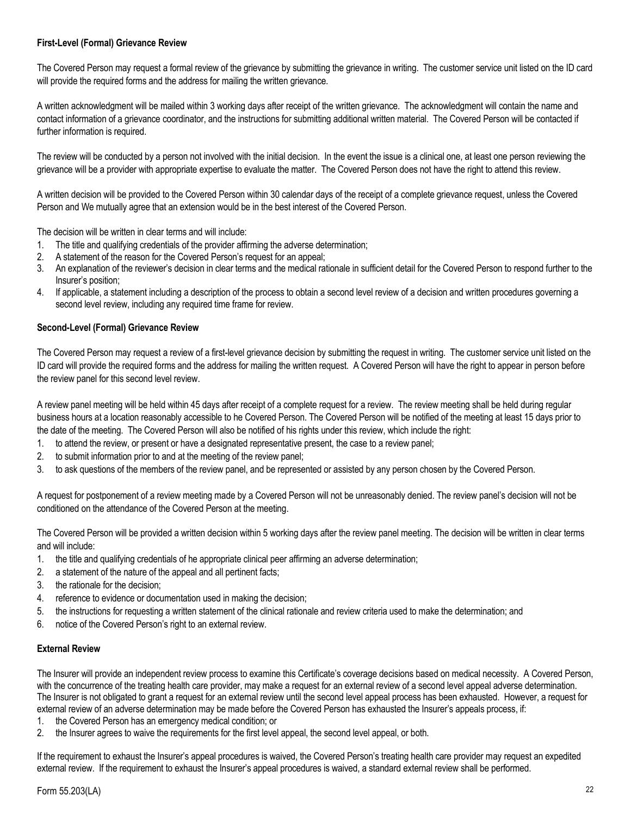# **First-Level (Formal) Grievance Review**

The Covered Person may request a formal review of the grievance by submitting the grievance in writing. The customer service unit listed on the ID card will provide the required forms and the address for mailing the written grievance.

A written acknowledgment will be mailed within 3 working days after receipt of the written grievance. The acknowledgment will contain the name and contact information of a grievance coordinator, and the instructions for submitting additional written material. The Covered Person will be contacted if further information is required.

The review will be conducted by a person not involved with the initial decision. In the event the issue is a clinical one, at least one person reviewing the grievance will be a provider with appropriate expertise to evaluate the matter. The Covered Person does not have the right to attend this review.

A written decision will be provided to the Covered Person within 30 calendar days of the receipt of a complete grievance request, unless the Covered Person and We mutually agree that an extension would be in the best interest of the Covered Person.

The decision will be written in clear terms and will include:

- 1. The title and qualifying credentials of the provider affirming the adverse determination;
- 2. A statement of the reason for the Covered Person's request for an appeal;
- 3. An explanation of the reviewer's decision in clear terms and the medical rationale in sufficient detail for the Covered Person to respond further to the Insurer's position;
- 4. If applicable, a statement including a description of the process to obtain a second level review of a decision and written procedures governing a second level review, including any required time frame for review.

# **Second-Level (Formal) Grievance Review**

The Covered Person may request a review of a first-level grievance decision by submitting the request in writing. The customer service unit listed on the ID card will provide the required forms and the address for mailing the written request. A Covered Person will have the right to appear in person before the review panel for this second level review.

A review panel meeting will be held within 45 days after receipt of a complete request for a review. The review meeting shall be held during regular business hours at a location reasonably accessible to he Covered Person. The Covered Person will be notified of the meeting at least 15 days prior to the date of the meeting. The Covered Person will also be notified of his rights under this review, which include the right:

- 1. to attend the review, or present or have a designated representative present, the case to a review panel;
- 2. to submit information prior to and at the meeting of the review panel;
- 3. to ask questions of the members of the review panel, and be represented or assisted by any person chosen by the Covered Person.

A request for postponement of a review meeting made by a Covered Person will not be unreasonably denied. The review panel's decision will not be conditioned on the attendance of the Covered Person at the meeting.

The Covered Person will be provided a written decision within 5 working days after the review panel meeting. The decision will be written in clear terms and will include:

- 1. the title and qualifying credentials of he appropriate clinical peer affirming an adverse determination;
- 2. a statement of the nature of the appeal and all pertinent facts;
- 3. the rationale for the decision;
- 4. reference to evidence or documentation used in making the decision;
- 5. the instructions for requesting a written statement of the clinical rationale and review criteria used to make the determination; and
- 6. notice of the Covered Person's right to an external review.

### **External Review**

The Insurer will provide an independent review process to examine this Certificate's coverage decisions based on medical necessity. A Covered Person, with the concurrence of the treating health care provider, may make a request for an external review of a second level appeal adverse determination. The Insurer is not obligated to grant a request for an external review until the second level appeal process has been exhausted. However, a request for external review of an adverse determination may be made before the Covered Person has exhausted the Insurer's appeals process, if:

- 1. the Covered Person has an emergency medical condition; or
- 2. the Insurer agrees to waive the requirements for the first level appeal, the second level appeal, or both.

If the requirement to exhaust the Insurer's appeal procedures is waived, the Covered Person's treating health care provider may request an expedited external review. If the requirement to exhaust the Insurer's appeal procedures is waived, a standard external review shall be performed.